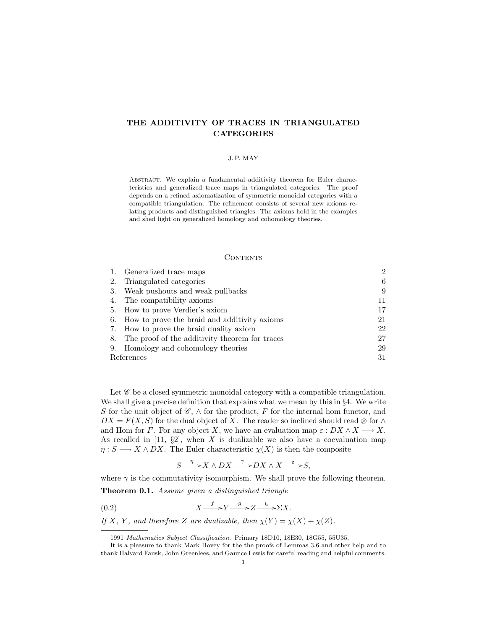# THE ADDITIVITY OF TRACES IN TRIANGULATED CATEGORIES

# J. P. MAY

ABSTRACT. We explain a fundamental additivity theorem for Euler characteristics and generalized trace maps in triangulated categories. The proof depends on a refined axiomatization of symmetric monoidal categories with a compatible triangulation. The refinement consists of several new axioms relating products and distinguished triangles. The axioms hold in the examples and shed light on generalized homology and cohomology theories.

# **CONTENTS**

|            | 1. Generalized trace maps                         | $\mathcal{D}$ |
|------------|---------------------------------------------------|---------------|
| 2.         | Triangulated categories                           | 6             |
| 3.         | Weak pushouts and weak pullbacks                  | 9             |
|            | 4. The compatibility axioms                       | 11            |
|            | 5. How to prove Verdier's axiom                   | 17            |
|            | 6. How to prove the braid and additivity axioms   | 21            |
|            | 7. How to prove the braid duality axiom           | 22            |
|            | 8. The proof of the additivity theorem for traces | 27            |
|            | 9. Homology and cohomology theories               | 29            |
| References |                                                   | 31            |

Let  $\mathscr C$  be a closed symmetric monoidal category with a compatible triangulation. We shall give a precise definition that explains what we mean by this in §4. We write S for the unit object of  $\mathscr{C}, \wedge$  for the product, F for the internal hom functor, and  $DX = F(X, S)$  for the dual object of X. The reader so inclined should read ⊗ for  $\wedge$ and Hom for F. For any object X, we have an evaluation map  $\varepsilon : DX \wedge X \longrightarrow X$ . As recalled in [11,  $\S2$ ], when X is dualizable we also have a coevaluation map  $\eta: S \longrightarrow X \wedge DX$ . The Euler characteristic  $\chi(X)$  is then the composite

$$
S \xrightarrow{\eta} X \wedge DX \xrightarrow{\gamma} DX \wedge X \xrightarrow{\varepsilon} S,
$$

where  $\gamma$  is the commutativity isomorphism. We shall prove the following theorem. Theorem 0.1. Assume given a distinguished triangle

$$
(0.2) \t\t X \xrightarrow{f} Y \xrightarrow{g} Z \xrightarrow{h} \Sigma X.
$$

If X, Y, and therefore Z are dualizable, then  $\chi(Y) = \chi(X) + \chi(Z)$ .

<sup>1991</sup> Mathematics Subject Classification. Primary 18D10, 18E30, 18G55, 55U35.

It is a pleasure to thank Mark Hovey for the the proofs of Lemmas 3.6 and other help and to thank Halvard Fausk, John Greenlees, and Gaunce Lewis for careful reading and helpful comments.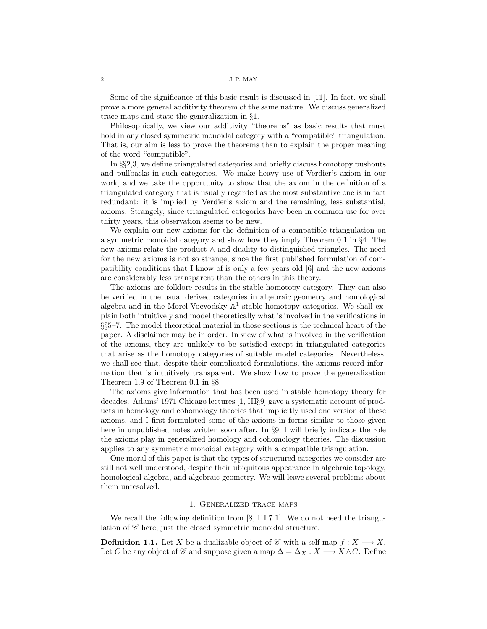Some of the significance of this basic result is discussed in [11]. In fact, we shall prove a more general additivity theorem of the same nature. We discuss generalized trace maps and state the generalization in §1.

Philosophically, we view our additivity "theorems" as basic results that must hold in any closed symmetric monoidal category with a "compatible" triangulation. That is, our aim is less to prove the theorems than to explain the proper meaning of the word "compatible".

In §§2,3, we define triangulated categories and briefly discuss homotopy pushouts and pullbacks in such categories. We make heavy use of Verdier's axiom in our work, and we take the opportunity to show that the axiom in the definition of a triangulated category that is usually regarded as the most substantive one is in fact redundant: it is implied by Verdier's axiom and the remaining, less substantial, axioms. Strangely, since triangulated categories have been in common use for over thirty years, this observation seems to be new.

We explain our new axioms for the definition of a compatible triangulation on a symmetric monoidal category and show how they imply Theorem 0.1 in §4. The new axioms relate the product ∧ and duality to distinguished triangles. The need for the new axioms is not so strange, since the first published formulation of compatibility conditions that I know of is only a few years old [6] and the new axioms are considerably less transparent than the others in this theory.

The axioms are folklore results in the stable homotopy category. They can also be verified in the usual derived categories in algebraic geometry and homological algebra and in the Morel-Voevodsky  $\mathbb{A}^1$ -stable homotopy categories. We shall explain both intuitively and model theoretically what is involved in the verifications in §§5–7. The model theoretical material in those sections is the technical heart of the paper. A disclaimer may be in order. In view of what is involved in the verification of the axioms, they are unlikely to be satisfied except in triangulated categories that arise as the homotopy categories of suitable model categories. Nevertheless, we shall see that, despite their complicated formulations, the axioms record information that is intuitively transparent. We show how to prove the generalization Theorem 1.9 of Theorem 0.1 in §8.

The axioms give information that has been used in stable homotopy theory for decades. Adams' 1971 Chicago lectures [1, III§9] gave a systematic account of products in homology and cohomology theories that implicitly used one version of these axioms, and I first formulated some of the axioms in forms similar to those given here in unpublished notes written soon after. In §9, I will briefly indicate the role the axioms play in generalized homology and cohomology theories. The discussion applies to any symmetric monoidal category with a compatible triangulation.

One moral of this paper is that the types of structured categories we consider are still not well understood, despite their ubiquitous appearance in algebraic topology, homological algebra, and algebraic geometry. We will leave several problems about them unresolved.

# 1. Generalized trace maps

We recall the following definition from [8, III.7.1]. We do not need the triangulation of  $\mathscr C$  here, just the closed symmetric monoidal structure.

**Definition 1.1.** Let X be a dualizable object of C with a self-map  $f: X \longrightarrow X$ . Let C be any object of C and suppose given a map  $\Delta = \Delta_X : X \longrightarrow X \wedge C$ . Define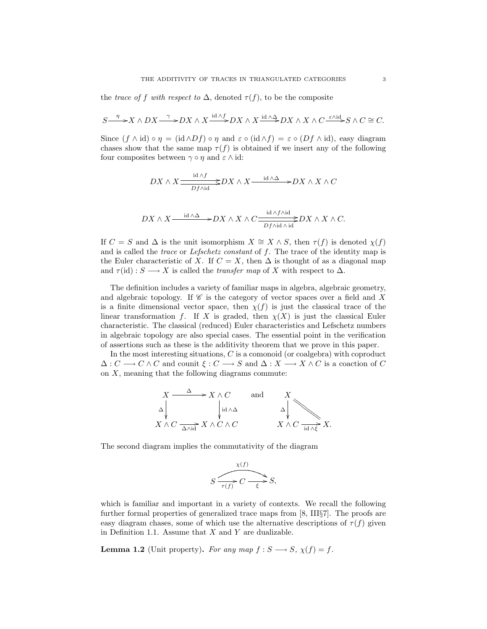the trace of f with respect to  $\Delta$ , denoted  $\tau(f)$ , to be the composite

$$
S \xrightarrow{\eta} X \wedge DX \xrightarrow{\gamma} DX \wedge X \xrightarrow{\operatorname{id} \wedge f} DX \wedge X \xrightarrow{\operatorname{id} \wedge \Delta} DX \wedge X \wedge C \xrightarrow{\varepsilon \wedge \operatorname{id}} S \wedge C \cong C.
$$

Since  $(f \wedge id) \circ \eta = (id \wedge Df) \circ \eta$  and  $\varepsilon \circ (id \wedge f) = \varepsilon \circ (Df \wedge id)$ , easy diagram chases show that the same map  $\tau(f)$  is obtained if we insert any of the following four composites between  $\gamma \circ \eta$  and  $\varepsilon \wedge id$ :

$$
DX \wedge X \xrightarrow{\operatorname{id} \wedge f} DX \wedge X \xrightarrow{\operatorname{id} \wedge \Delta} DX \wedge X \wedge C
$$

$$
DX \wedge X \xrightarrow{\text{id} \wedge \Delta} \rightarrow DX \wedge X \wedge C \xrightarrow{\text{id} \wedge f \wedge \text{id}} DX \wedge X \wedge C.
$$

If  $C = S$  and  $\Delta$  is the unit isomorphism  $X \cong X \wedge S$ , then  $\tau(f)$  is denoted  $\chi(f)$ and is called the *trace* or *Lefschetz constant* of  $f$ . The trace of the identity map is the Euler characteristic of X. If  $C = X$ , then  $\Delta$  is thought of as a diagonal map and  $\tau(\text{id}) : S \longrightarrow X$  is called the *transfer map* of X with respect to  $\Delta$ .

The definition includes a variety of familiar maps in algebra, algebraic geometry, and algebraic topology. If  $\mathscr C$  is the category of vector spaces over a field and X is a finite dimensional vector space, then  $\chi(f)$  is just the classical trace of the linear transformation f. If X is graded, then  $\chi(X)$  is just the classical Euler characteristic. The classical (reduced) Euler characteristics and Lefschetz numbers in algebraic topology are also special cases. The essential point in the verification of assertions such as these is the additivity theorem that we prove in this paper.

In the most interesting situations,  $C$  is a comonoid (or coalgebra) with coproduct  $\Delta: C \longrightarrow C \wedge C$  and counit  $\xi: C \longrightarrow S$  and  $\Delta: X \longrightarrow X \wedge C$  is a coaction of C on  $X$ , meaning that the following diagrams commute:

$$
X \xrightarrow{\Delta} X \wedge C \qquad \text{and} \qquad X
$$
  
\n
$$
\downarrow_{\text{id} \wedge \Delta} X
$$
  
\n
$$
X \wedge C \xrightarrow{\Delta \wedge \text{id}} X \wedge C \wedge C \qquad \qquad X \wedge C \xrightarrow{\text{id} \wedge \xi} X.
$$

The second diagram implies the commutativity of the diagram

$$
S \xrightarrow{\chi(f)} C \xrightarrow{\chi(f)} S,
$$

which is familiar and important in a variety of contexts. We recall the following further formal properties of generalized trace maps from [8, III§7]. The proofs are easy diagram chases, some of which use the alternative descriptions of  $\tau(f)$  given in Definition 1.1. Assume that  $X$  and  $Y$  are dualizable.

**Lemma 1.2** (Unit property). For any map  $f : S \longrightarrow S$ ,  $\chi(f) = f$ .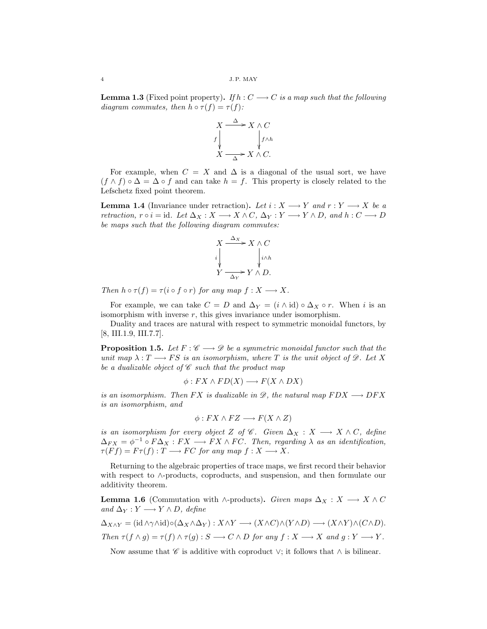**Lemma 1.3** (Fixed point property). If  $h: C \longrightarrow C$  is a map such that the following diagram commutes, then  $h \circ \tau(f) = \tau(f)$ :

$$
X \xrightarrow{\Delta} X \wedge C
$$
  
\n
$$
f \downarrow \qquad \qquad \downarrow f \wedge h
$$
  
\n
$$
X \xrightarrow{\Delta} X \wedge C.
$$

For example, when  $C = X$  and  $\Delta$  is a diagonal of the usual sort, we have  $(f \wedge f) \circ \Delta = \Delta \circ f$  and can take  $h = f$ . This property is closely related to the Lefschetz fixed point theorem.

**Lemma 1.4** (Invariance under retraction). Let  $i : X \longrightarrow Y$  and  $r : Y \longrightarrow X$  be a retraction,  $r \circ i = id$ . Let  $\Delta_X : X \longrightarrow X \wedge C$ ,  $\Delta_Y : Y \longrightarrow Y \wedge D$ , and  $h : C \longrightarrow D$ be maps such that the following diagram commutes:

$$
X \xrightarrow{\Delta x} X \wedge C
$$
  
\n
$$
\downarrow \qquad \qquad \downarrow \downarrow \downarrow
$$
  
\n
$$
Y \xrightarrow{\Delta Y} Y \wedge D.
$$

Then  $h \circ \tau(f) = \tau(i \circ f \circ r)$  for any map  $f : X \longrightarrow X$ .

For example, we can take  $C = D$  and  $\Delta_Y = (i \wedge id) \circ \Delta_X \circ r$ . When i is an isomorphism with inverse  $r$ , this gives invariance under isomorphism.

Duality and traces are natural with respect to symmetric monoidal functors, by [8, III.1.9, III.7.7].

**Proposition 1.5.** Let  $F : \mathscr{C} \longrightarrow \mathscr{D}$  be a symmetric monoidal functor such that the unit map  $\lambda: T \longrightarrow FS$  is an isomorphism, where T is the unit object of  $\mathscr{D}$ . Let X be a dualizable object of  $\mathscr C$  such that the product map

$$
\phi: FX \wedge FD(X) \longrightarrow F(X \wedge DX)
$$

is an isomorphism. Then FX is dualizable in  $\mathscr{D}$ , the natural map  $FDX \longrightarrow DFX$ is an isomorphism, and

$$
\phi: FX \wedge FZ \longrightarrow F(X \wedge Z)
$$

is an isomorphism for every object Z of  $\mathscr{C}$ . Given  $\Delta_X : X \longrightarrow X \wedge C$ , define  $\Delta_{FX} = \phi^{-1} \circ F \Delta_X : FX \longrightarrow FX \wedge FC$ . Then, regarding  $\lambda$  as an identification,  $\tau(Ff) = F\tau(f) : T \longrightarrow FC$  for any map  $f : X \longrightarrow X$ .

Returning to the algebraic properties of trace maps, we first record their behavior with respect to ∧-products, coproducts, and suspension, and then formulate our additivity theorem.

**Lemma 1.6** (Commutation with ∧-products). Given maps  $\Delta_X : X \longrightarrow X \wedge C$ and  $\Delta_Y : Y \longrightarrow Y \wedge D$ , define

$$
\Delta_{X \wedge Y} = (\mathrm{id} \wedge \gamma \wedge \mathrm{id}) \circ (\Delta_X \wedge \Delta_Y) : X \wedge Y \longrightarrow (X \wedge C) \wedge (Y \wedge D) \longrightarrow (X \wedge Y) \wedge (C \wedge D).
$$
  
Then  $\tau(f \wedge g) = \tau(f) \wedge \tau(g) : S \longrightarrow C \wedge D$  for any  $f : X \longrightarrow X$  and  $g : Y \longrightarrow Y$ .

Now assume that  $\mathscr C$  is additive with coproduct  $\vee$ ; it follows that  $\wedge$  is bilinear.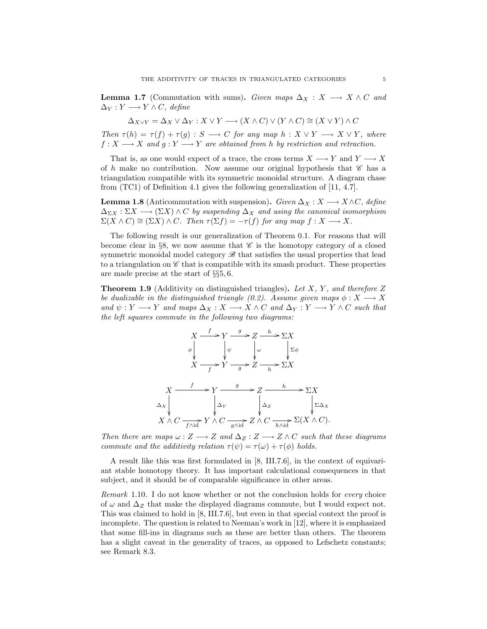**Lemma 1.7** (Commutation with sums). Given maps  $\Delta_X : X \longrightarrow X \wedge C$  and  $\Delta_Y: Y \longrightarrow Y \wedge C$ , define

$$
\Delta_{X\vee Y} = \Delta_X \vee \Delta_Y : X \vee Y \longrightarrow (X \wedge C) \vee (Y \wedge C) \cong (X \vee Y) \wedge C
$$

Then  $\tau(h) = \tau(f) + \tau(g) : S \longrightarrow C$  for any map  $h : X \vee Y \longrightarrow X \vee Y$ , where  $f: X \longrightarrow X$  and  $g: Y \longrightarrow Y$  are obtained from h by restriction and retraction.

That is, as one would expect of a trace, the cross terms  $X \longrightarrow Y$  and  $Y \longrightarrow X$ of h make no contribution. Now assume our original hypothesis that  $\mathscr C$  has a triangulation compatible with its symmetric monoidal structure. A diagram chase from (TC1) of Definition 4.1 gives the following generalization of [11, 4.7].

**Lemma 1.8** (Anticommutation with suspension). Given  $\Delta_X : X \longrightarrow X \wedge C$ , define  $\Delta_{\Sigma X} : \Sigma X \longrightarrow (\Sigma X) \wedge C$  by suspending  $\Delta_X$  and using the canonical isomorphism  $\Sigma(X \wedge C) \cong (\Sigma X) \wedge C$ . Then  $\tau(\Sigma f) = -\tau(f)$  for any map  $f : X \longrightarrow X$ .

The following result is our generalization of Theorem 0.1. For reasons that will become clear in §8, we now assume that  $\mathscr C$  is the homotopy category of a closed symmetric monoidal model category  $\mathscr{B}$  that satisfies the usual properties that lead to a triangulation on  $\mathscr C$  that is compatible with its smash product. These properties are made precise at the start of §§5, 6.

**Theorem 1.9** (Additivity on distinguished triangles). Let  $X$ ,  $Y$ , and therefore  $Z$ be dualizable in the distinguished triangle (0.2). Assume given maps  $\phi: X \longrightarrow X$ and  $\psi: Y \longrightarrow Y$  and maps  $\Delta_X: X \longrightarrow X \wedge C$  and  $\Delta_Y: Y \longrightarrow Y \wedge C$  such that the left squares commute in the following two diagrams:



Then there are maps  $\omega : Z \longrightarrow Z$  and  $\Delta_Z : Z \longrightarrow Z \wedge C$  such that these diagrams commute and the additivity relation  $\tau(\psi) = \tau(\omega) + \tau(\phi)$  holds.

A result like this was first formulated in [8, III.7.6], in the context of equivariant stable homotopy theory. It has important calculational consequences in that subject, and it should be of comparable significance in other areas.

Remark 1.10. I do not know whether or not the conclusion holds for every choice of  $\omega$  and  $\Delta$ <sub>Z</sub> that make the displayed diagrams commute, but I would expect not. This was claimed to hold in [8, III.7.6], but even in that special context the proof is incomplete. The question is related to Neeman's work in [12], where it is emphasized that some fill-ins in diagrams such as these are better than others. The theorem has a slight caveat in the generality of traces, as opposed to Lefschetz constants; see Remark 8.3.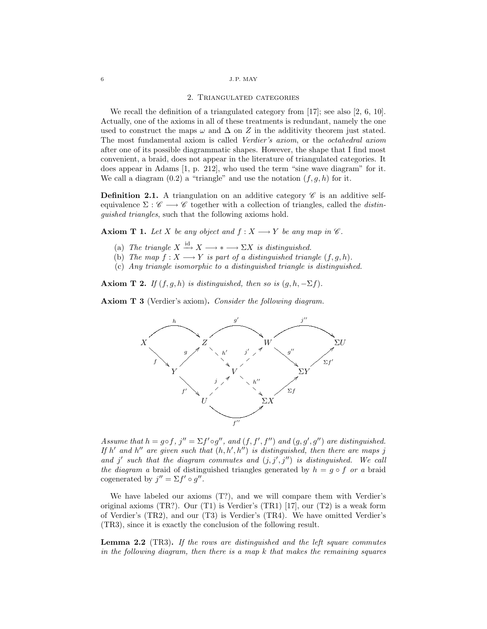#### 2. Triangulated categories

We recall the definition of a triangulated category from [17]; see also [2, 6, 10]. Actually, one of the axioms in all of these treatments is redundant, namely the one used to construct the maps  $\omega$  and  $\Delta$  on Z in the additivity theorem just stated. The most fundamental axiom is called Verdier's axiom, or the octahedral axiom after one of its possible diagrammatic shapes. However, the shape that I find most convenient, a braid, does not appear in the literature of triangulated categories. It does appear in Adams [1, p. 212], who used the term "sine wave diagram" for it. We call a diagram  $(0.2)$  a "triangle" and use the notation  $(f, g, h)$  for it.

**Definition 2.1.** A triangulation on an additive category  $\mathscr{C}$  is an additive selfequivalence  $\Sigma : \mathscr{C} \longrightarrow \mathscr{C}$  together with a collection of triangles, called the *distin*guished triangles, such that the following axioms hold.

**Axiom T 1.** Let X be any object and  $f : X \longrightarrow Y$  be any map in  $\mathscr{C}$ .

- (a) The triangle  $X \stackrel{\text{id}}{\longrightarrow} X \longrightarrow * \longrightarrow \Sigma X$  is distinguished.
- (b) The map  $f: X \longrightarrow Y$  is part of a distinguished triangle  $(f, g, h)$ .
- (c) Any triangle isomorphic to a distinguished triangle is distinguished.

Axiom T 2. If  $(f, g, h)$  is distinguished, then so is  $(g, h, -\Sigma f)$ .

Axiom T 3 (Verdier's axiom). Consider the following diagram.



Assume that  $h = g \circ f$ ,  $j'' = \sum f' \circ g''$ , and  $(f, f', f'')$  and  $(g, g', g'')$  are distinguished. If h' and h'' are given such that  $(h, h', h'')$  is distinguished, then there are maps j and j' such that the diagram commutes and  $(j, j', j'')$  is distinguished. We call the diagram a braid of distinguished triangles generated by  $h = g \circ f$  or a braid cogenerated by  $j'' = \sum f' \circ g''$ .

We have labeled our axioms  $(T?)$ , and we will compare them with Verdier's original axioms (TR?). Our (T1) is Verdier's (TR1) [17], our (T2) is a weak form of Verdier's (TR2), and our (T3) is Verdier's (TR4). We have omitted Verdier's (TR3), since it is exactly the conclusion of the following result.

**Lemma 2.2** (TR3). If the rows are distinguished and the left square commutes in the following diagram, then there is a map  $k$  that makes the remaining squares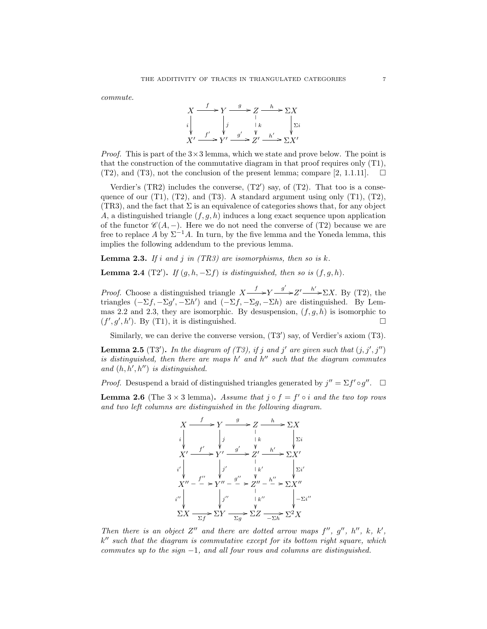commute.



*Proof.* This is part of the  $3 \times 3$  lemma, which we state and prove below. The point is that the construction of the commutative diagram in that proof requires only (T1),  $(T2)$ , and  $(T3)$ , not the conclusion of the present lemma; compare [2, 1.1.11].  $\Box$ 

Verdier's  $(TR2)$  includes the converse,  $(T2')$  say, of  $(T2)$ . That too is a consequence of our (T1), (T2), and (T3). A standard argument using only (T1), (T2),  $(TR3)$ , and the fact that  $\Sigma$  is an equivalence of categories shows that, for any object A, a distinguished triangle  $(f, g, h)$  induces a long exact sequence upon application of the functor  $\mathscr{C}(A, -)$ . Here we do not need the converse of (T2) because we are free to replace A by  $\Sigma^{-1}A$ . In turn, by the five lemma and the Yoneda lemma, this implies the following addendum to the previous lemma.

**Lemma 2.3.** If i and j in  $(TR3)$  are isomorphisms, then so is k.

**Lemma 2.4** (T2'). If  $(g, h, -\Sigma f)$  is distinguished, then so is  $(f, g, h)$ .

*Proof.* Choose a distinguished triangle  $X \xrightarrow{f} Y \xrightarrow{g'} Z' \xrightarrow{h'} \Sigma X$ . By (T2), the triangles  $(-\Sigma f, -\Sigma g', -\Sigma h')$  and  $(-\Sigma f, -\Sigma g, -\Sigma h)$  are distinguished. By Lemmas 2.2 and 2.3, they are isomorphic. By desuspension,  $(f, g, h)$  is isomorphic to  $(f', g', h')$ . By (T1), it is distinguished.

Similarly, we can derive the converse version,  $(T3')$  say, of Verdier's axiom  $(T3)$ .

**Lemma 2.5** (T3'). In the diagram of (T3), if j and j' are given such that  $(j, j', j'')$ is distinguished, then there are maps  $h'$  and  $h''$  such that the diagram commutes and  $(h, h', h'')$  is distinguished.

*Proof.* Desuspend a braid of distinguished triangles generated by  $j'' = \sum f' \circ g''$ .  $\Box$ 

**Lemma 2.6** (The  $3 \times 3$  lemma). Assume that  $j \circ f = f' \circ i$  and the two top rows and two left columns are distinguished in the following diagram.



Then there is an object Z'' and there are dotted arrow maps  $f''$ ,  $g''$ ,  $h''$ ,  $k$ ,  $k'$ ,  $k''$  such that the diagram is commutative except for its bottom right square, which commutes up to the sign  $-1$ , and all four rows and columns are distinguished.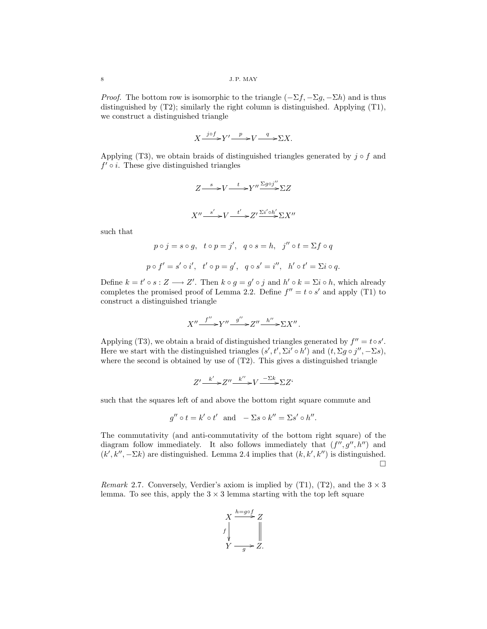*Proof.* The bottom row is isomorphic to the triangle  $(-\Sigma f, -\Sigma g, -\Sigma h)$  and is thus distinguished by (T2); similarly the right column is distinguished. Applying (T1), we construct a distinguished triangle

$$
X \xrightarrow{j \circ f} Y' \xrightarrow{p} V \xrightarrow{q} \Sigma X.
$$

Applying (T3), we obtain braids of distinguished triangles generated by  $j \circ f$  and  $f' \circ i$ . These give distinguished triangles

$$
Z \longrightarrow V \longrightarrow Y'' \longrightarrow Y'' \longrightarrow ZZ
$$
  

$$
X'' \longrightarrow Y' \longrightarrow Z' \longrightarrow Z' \longrightarrow X''
$$

such that

$$
p \circ j = s \circ g, \quad t \circ p = j', \quad q \circ s = h, \quad j'' \circ t = \Sigma f \circ q
$$
  

$$
p \circ f' = s' \circ i', \quad t' \circ p = g', \quad q \circ s' = i'', \quad h' \circ t' = \Sigma i \circ q.
$$

Define  $k = t' \circ s : Z \longrightarrow Z'$ . Then  $k \circ g = g' \circ j$  and  $h' \circ k = \Sigma i \circ h$ , which already completes the promised proof of Lemma 2.2. Define  $f'' = t \circ s'$  and apply (T1) to construct a distinguished triangle

$$
X'' \xrightarrow{f''} Y'' \xrightarrow{g''} Z'' \xrightarrow{h''} \Sigma X''.
$$

Applying (T3), we obtain a braid of distinguished triangles generated by  $f'' = t \circ s'$ . Here we start with the distinguished triangles  $(s', t', \Sigma i' \circ h')$  and  $(t, \Sigma g \circ j'', -\Sigma s)$ , where the second is obtained by use of  $(T2)$ . This gives a distinguished triangle

$$
Z' \xrightarrow{k'} Z'' \xrightarrow{k''} V \xrightarrow{-\Sigma k} \Sigma Z'
$$

such that the squares left of and above the bottom right square commute and

$$
g'' \circ t = k' \circ t'
$$
 and  $-\Sigma s \circ k'' = \Sigma s' \circ h''$ .

The commutativity (and anti-commutativity of the bottom right square) of the diagram follow immediately. It also follows immediately that  $(f'', g'', h'')$  and  $(k', k'', -\Sigma k)$  are distinguished. Lemma 2.4 implies that  $(k, k', k'')$  is distinguished. ¤

Remark 2.7. Conversely, Verdier's axiom is implied by (T1), (T2), and the  $3 \times 3$ lemma. To see this, apply the  $3 \times 3$  lemma starting with the top left square

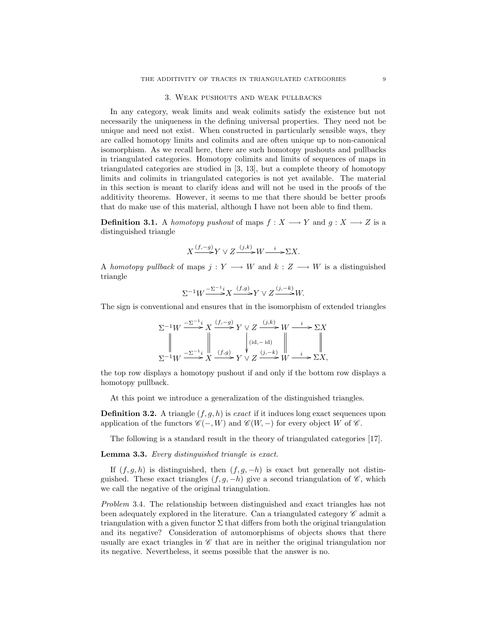## 3. Weak pushouts and weak pullbacks

In any category, weak limits and weak colimits satisfy the existence but not necessarily the uniqueness in the defining universal properties. They need not be unique and need not exist. When constructed in particularly sensible ways, they are called homotopy limits and colimits and are often unique up to non-canonical isomorphism. As we recall here, there are such homotopy pushouts and pullbacks in triangulated categories. Homotopy colimits and limits of sequences of maps in triangulated categories are studied in [3, 13], but a complete theory of homotopy limits and colimits in triangulated categories is not yet available. The material in this section is meant to clarify ideas and will not be used in the proofs of the additivity theorems. However, it seems to me that there should be better proofs that do make use of this material, although I have not been able to find them.

**Definition 3.1.** A homotopy pushout of maps  $f : X \longrightarrow Y$  and  $g : X \longrightarrow Z$  is a distinguished triangle

$$
X \xrightarrow{(f,-g)} Y \vee Z \xrightarrow{(j,k)} W \xrightarrow{i} \Sigma X.
$$

A homotopy pullback of maps  $j: Y \longrightarrow W$  and  $k: Z \longrightarrow W$  is a distinguished triangle

$$
\Sigma^{-1}W \xrightarrow{\Sigma^{-1}i} X \xrightarrow{(f,g)} Y \vee Z \xrightarrow{(j,-k)} W.
$$

The sign is conventional and ensures that in the isomorphism of extended triangles

$$
\Sigma^{-1}W \xrightarrow{\Sigma^{-1}i} X \xrightarrow{(f,-g)} Y \vee Z \xrightarrow{(j,k)} W \xrightarrow{i} \Sigma X
$$
  
\n
$$
\downarrow \qquad \qquad \downarrow \qquad \qquad \downarrow \qquad \qquad \downarrow \qquad \qquad \downarrow
$$
  
\n
$$
\Sigma^{-1}W \xrightarrow{\Sigma^{-1}i} X \xrightarrow{(f,g)} Y \vee Z \xrightarrow{(j,-k)} W \xrightarrow{i} \Sigma X,
$$

the top row displays a homotopy pushout if and only if the bottom row displays a homotopy pullback.

At this point we introduce a generalization of the distinguished triangles.

**Definition 3.2.** A triangle  $(f, g, h)$  is exact if it induces long exact sequences upon application of the functors  $\mathscr{C}(-, W)$  and  $\mathscr{C}(W, -)$  for every object W of  $\mathscr{C}$ .

The following is a standard result in the theory of triangulated categories [17].

Lemma 3.3. Every distinguished triangle is exact.

If  $(f, g, h)$  is distinguished, then  $(f, g, -h)$  is exact but generally not distinguished. These exact triangles  $(f, g, -h)$  give a second triangulation of  $\mathscr{C}$ , which we call the negative of the original triangulation.

Problem 3.4. The relationship between distinguished and exact triangles has not been adequately explored in the literature. Can a triangulated category  $\mathscr C$  admit a triangulation with a given functor  $\Sigma$  that differs from both the original triangulation and its negative? Consideration of automorphisms of objects shows that there usually are exact triangles in  $\mathscr C$  that are in neither the original triangulation nor its negative. Nevertheless, it seems possible that the answer is no.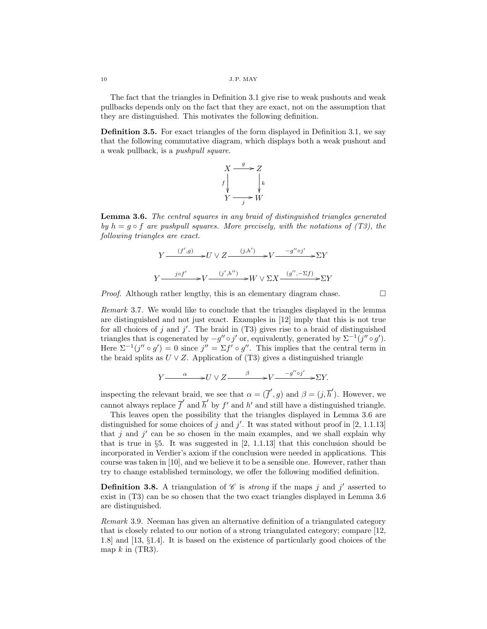The fact that the triangles in Definition 3.1 give rise to weak pushouts and weak pullbacks depends only on the fact that they are exact, not on the assumption that they are distinguished. This motivates the following definition.

Definition 3.5. For exact triangles of the form displayed in Definition 3.1, we say that the following commutative diagram, which displays both a weak pushout and a weak pullback, is a pushpull square.



Lemma 3.6. The central squares in any braid of distinguished triangles generated by  $h = q \circ f$  are pushpull squares. More precisely, with the notations of (T3), the following triangles are exact.

$$
Y \xrightarrow{(f',g)} U \vee Z \xrightarrow{(j,h')} V \xrightarrow{-g'' \circ j'} \Sigma Y
$$
  

$$
Y \xrightarrow{j \circ f'} V \xrightarrow{(j',h'')} W \vee \Sigma X \xrightarrow{(g'', -\Sigma f)} \Sigma Y
$$

*Proof.* Although rather lengthy, this is an elementary diagram chase.  $\Box$ 

Remark 3.7. We would like to conclude that the triangles displayed in the lemma are distinguished and not just exact. Examples in [12] imply that this is not true for all choices of j and j'. The braid in  $(T3)$  gives rise to a braid of distinguished triangles that is cogenerated by  $-g'' \circ j'$  or, equivalently, generated by  $\Sigma^{-1}(j'' \circ g')$ . Here  $\Sigma^{-1}(j'' \circ g') = 0$  since  $j'' = \Sigma f' \circ g''$ . This implies that the central term in the braid splits as  $U \vee Z$ . Application of (T3) gives a distinguished triangle

$$
Y \xrightarrow{\alpha} U \vee Z \xrightarrow{\beta} V \xrightarrow{-g'' \circ j'} \Sigma Y.
$$

inspecting the relevant braid, we see that  $\alpha = (\overline{f}', g)$  and  $\beta = (j, \overline{h}')$ . However, we cannot always replace  $\overline{f}'$  and  $\overline{h}'$  by  $f'$  and  $h'$  and still have a distinguished triangle.

This leaves open the possibility that the triangles displayed in Lemma 3.6 are distinguished for some choices of j and j'. It was stated without proof in [2, 1.1.13] that j and j' can be so chosen in the main examples, and we shall explain why that is true in §5. It was suggested in [2, 1.1.13] that this conclusion should be incorporated in Verdier's axiom if the conclusion were needed in applications. This course was taken in [10], and we believe it to be a sensible one. However, rather than try to change established terminology, we offer the following modified definition.

**Definition 3.8.** A triangulation of  $\mathscr C$  is *strong* if the maps j and j' asserted to exist in (T3) can be so chosen that the two exact triangles displayed in Lemma 3.6 are distinguished.

Remark 3.9. Neeman has given an alternative definition of a triangulated category that is closely related to our notion of a strong triangulated category; compare [12, 1.8] and [13, §1.4]. It is based on the existence of particularly good choices of the map  $k$  in (TR3).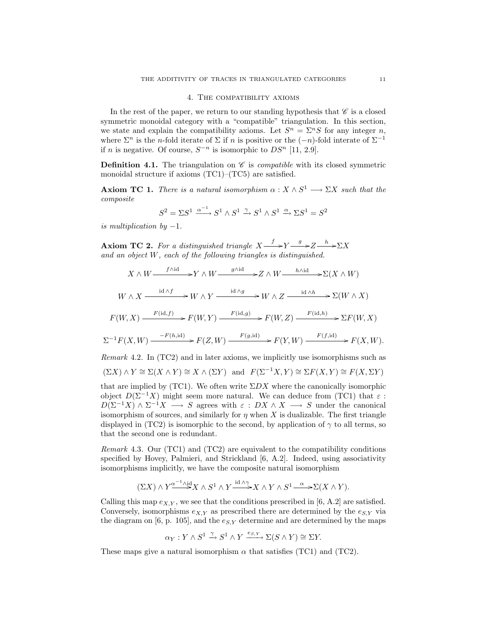## 4. The compatibility axioms

In the rest of the paper, we return to our standing hypothesis that  $\mathscr C$  is a closed symmetric monoidal category with a "compatible" triangulation. In this section, we state and explain the compatibility axioms. Let  $S^n = \sum^n S$  for any integer *n*, where  $\Sigma^n$  is the n-fold iterate of  $\Sigma$  if n is positive or the  $(-n)$ -fold interate of  $\Sigma^{-1}$ if n is negative. Of course,  $S^{-n}$  is isomorphic to  $DS^{n}$  [11, 2.9].

**Definition 4.1.** The triangulation on  $\mathscr C$  is *compatible* with its closed symmetric monoidal structure if axioms (TC1)–(TC5) are satisfied.

**Axiom TC 1.** There is a natural isomorphism  $\alpha : X \wedge S^1 \longrightarrow \Sigma X$  such that the composite

$$
S^2 = \Sigma S^1 \xrightarrow{\alpha^{-1}} S^1 \wedge S^1 \xrightarrow{\gamma} S^1 \wedge S^1 \xrightarrow{\alpha} \Sigma S^1 = S^2
$$

is multiplication by  $-1$ .

**Axiom TC 2.** For a distinguished triangle  $X \xrightarrow{f} Y \xrightarrow{g} Z \xrightarrow{h} \Sigma X$ and an object W, each of the following triangles is distinguished.

$$
X \wedge W \xrightarrow{f \wedge id} Y \wedge W \xrightarrow{g \wedge id} Z \wedge W \xrightarrow{h \wedge id} \Sigma(X \wedge W)
$$
  

$$
W \wedge X \xrightarrow{id \wedge f} W \wedge Y \xrightarrow{id \wedge g} W \wedge Z \xrightarrow{id \wedge h} \Sigma(W \wedge X)
$$
  

$$
F(U \wedge Y) \xrightarrow{F(id, f)} F(U \wedge Y) \xrightarrow{F(id, g)} F(U \wedge Z) \xrightarrow{F(id, h)} \Sigma F(U \wedge Y)
$$

$$
F(W, X) \xrightarrow{F(\text{id}, f)} F(W, Y) \xrightarrow{F(\text{id}, g)} F(W, Z) \xrightarrow{F(\text{id}, h)} \Sigma F(W, X)
$$

$$
\Sigma^{-1}F(X,W) \xrightarrow{F(h,\mathrm{id})} F(Z,W) \xrightarrow{F(g,\mathrm{id})} F(Y,W) \xrightarrow{F(f,\mathrm{id})} F(X,W).
$$

Remark 4.2. In (TC2) and in later axioms, we implicitly use isomorphisms such as

$$
(\Sigma X) \wedge Y \cong \Sigma (X \wedge Y) \cong X \wedge (\Sigma Y) \text{ and } F(\Sigma^{-1}X, Y) \cong \Sigma F(X, Y) \cong F(X, \Sigma Y)
$$

that are implied by (TC1). We often write  $\Sigma DX$  where the canonically isomorphic object  $D(\Sigma^{-1}X)$  might seem more natural. We can deduce from (TC1) that  $\varepsilon$ :  $D(\Sigma^{-1}X) \wedge \Sigma^{-1}X \longrightarrow S$  agrees with  $\varepsilon : DX \wedge X \longrightarrow S$  under the canonical isomorphism of sources, and similarly for  $\eta$  when X is dualizable. The first triangle displayed in (TC2) is isomorphic to the second, by application of  $\gamma$  to all terms, so that the second one is redundant.

Remark 4.3. Our (TC1) and (TC2) are equivalent to the compatibility conditions specified by Hovey, Palmieri, and Strickland [6, A.2]. Indeed, using associativity isomorphisms implicitly, we have the composite natural isomorphism

$$
(\Sigma X) \wedge Y^{\alpha^{-1} \wedge id}_{\longrightarrow} X \wedge S^1 \wedge Y \xrightarrow{id \wedge \gamma} X \wedge Y \wedge S^1 \xrightarrow{\alpha} \Sigma(X \wedge Y).
$$

Calling this map  $e_{X,Y}$ , we see that the conditions prescribed in [6, A.2] are satisfied. Conversely, isomorphisms  $e_{X,Y}$  as prescribed there are determined by the  $e_{S,Y}$  via the diagram on [6, p. 105], and the  $e_{S,Y}$  determine and are determined by the maps

$$
\alpha_Y: Y \wedge S^1 \xrightarrow{\gamma} S^1 \wedge Y \xrightarrow{e_{S,Y}} \Sigma(S \wedge Y) \cong \Sigma Y.
$$

These maps give a natural isomorphism  $\alpha$  that satisfies (TC1) and (TC2).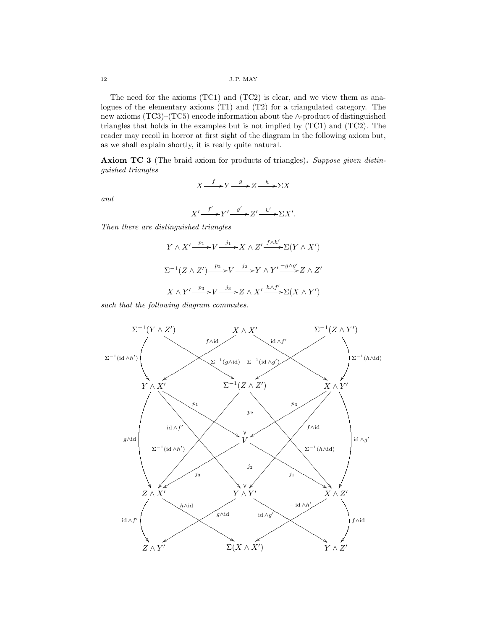The need for the axioms (TC1) and (TC2) is clear, and we view them as analogues of the elementary axioms (T1) and (T2) for a triangulated category. The new axioms (TC3)–(TC5) encode information about the ∧-product of distinguished triangles that holds in the examples but is not implied by (TC1) and (TC2). The reader may recoil in horror at first sight of the diagram in the following axiom but, as we shall explain shortly, it is really quite natural.

Axiom TC 3 (The braid axiom for products of triangles). Suppose given distinguished triangles

$$
X \xrightarrow{f} Y \xrightarrow{g} Z \xrightarrow{h} \Sigma X
$$

and

$$
X' \xrightarrow{f'} Y' \xrightarrow{g'} Z' \xrightarrow{h'} \Sigma X'.
$$

Then there are distinguished triangles

$$
Y \wedge X' \xrightarrow{p_1} V \xrightarrow{j_1} X \wedge Z' \xrightarrow{f \wedge h'} \Sigma(Y \wedge X')
$$
  

$$
\Sigma^{-1}(Z \wedge Z') \xrightarrow{p_2} V \xrightarrow{j_2} Y \wedge Y' \xrightarrow{-g \wedge g'} Z \wedge Z'
$$
  

$$
X \wedge Y' \xrightarrow{p_3} V \xrightarrow{j_3} Z \wedge X' \xrightarrow{h \wedge f'} \Sigma(X \wedge Y')
$$

such that the following diagram commutes.

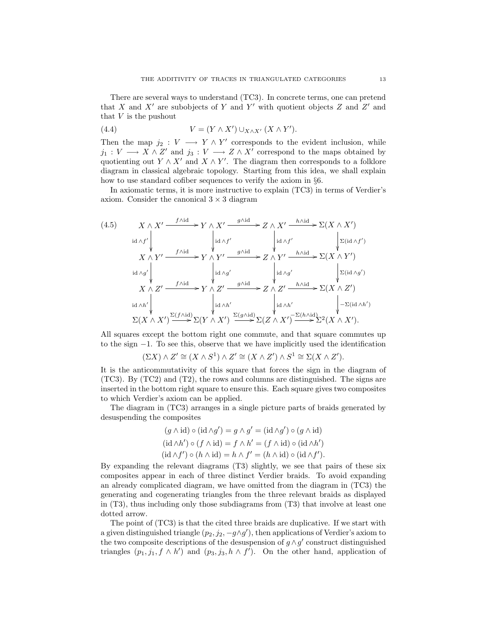There are several ways to understand (TC3). In concrete terms, one can pretend that X and  $X'$  are subobjects of Y and Y' with quotient objects Z and Z' and that  $V$  is the pushout

(4.4) 
$$
V = (Y \wedge X') \cup_{X \wedge X'} (X \wedge Y').
$$

Then the map  $j_2: V \longrightarrow Y \wedge Y'$  corresponds to the evident inclusion, while  $j_1: V \longrightarrow X \wedge Z'$  and  $j_3: V \longrightarrow Z \wedge X'$  correspond to the maps obtained by quotienting out  $Y \wedge X'$  and  $X \wedge Y'$ . The diagram then corresponds to a folklore diagram in classical algebraic topology. Starting from this idea, we shall explain how to use standard cofiber sequences to verify the axiom in §6.

In axiomatic terms, it is more instructive to explain (TC3) in terms of Verdier's axiom. Consider the canonical  $3 \times 3$  diagram

(4.5) 
$$
X \wedge X' \xrightarrow{f \wedge id} Y \wedge X' \xrightarrow{g \wedge id} Z \wedge X' \xrightarrow{h \wedge id} \Sigma(X \wedge X')
$$
  
\n
$$
X \wedge Y' \xrightarrow{f \wedge id} Y' \wedge Y' \xrightarrow{g \wedge id} Z \wedge Y' \xrightarrow{h \wedge id} \Sigma(id \wedge f')
$$
  
\n
$$
X \wedge Y' \xrightarrow{f \wedge id} Y' \wedge Y' \xrightarrow{g \wedge id} Z \wedge Y' \xrightarrow{h \wedge id} \Sigma(X \wedge Y')
$$
  
\n
$$
X \wedge Z' \xrightarrow{f \wedge id} Y' \wedge Z' \xrightarrow{g \wedge id} Z \wedge Z' \xrightarrow{h \wedge id} \Sigma(id \wedge g')
$$
  
\n
$$
X \wedge Z' \xrightarrow{f \wedge id} Y' \wedge Z' \xrightarrow{g \wedge id} Z \wedge Z' \xrightarrow{h \wedge id} \Sigma(X \wedge Z')
$$
  
\n
$$
id \wedge h' \qquad \downarrow id \wedge h'
$$
  
\n
$$
\Sigma(X \wedge X') \xrightarrow{\Sigma(f \wedge id)} \Sigma(Y \wedge X') \xrightarrow{\Sigma(g \wedge id)} \Sigma(Z \wedge X') \xrightarrow{\Sigma(h \wedge id)} \Sigma^{2}(X \wedge X').
$$

All squares except the bottom right one commute, and that square commutes up to the sign −1. To see this, observe that we have implicitly used the identification

 $(\Sigma X) \wedge Z' \cong (X \wedge S^1) \wedge Z' \cong (X \wedge Z') \wedge S^1 \cong \Sigma (X \wedge Z').$ 

It is the anticommutativity of this square that forces the sign in the diagram of  $(TC3)$ . By  $(TC2)$  and  $(T2)$ , the rows and columns are distinguished. The signs are inserted in the bottom right square to ensure this. Each square gives two composites to which Verdier's axiom can be applied.

The diagram in (TC3) arranges in a single picture parts of braids generated by desuspending the composites

$$
(g \wedge id) \circ (id \wedge g') = g \wedge g' = (id \wedge g') \circ (g \wedge id)
$$

$$
(id \wedge h') \circ (f \wedge id) = f \wedge h' = (f \wedge id) \circ (id \wedge h')
$$

$$
(id \wedge f') \circ (h \wedge id) = h \wedge f' = (h \wedge id) \circ (id \wedge f').
$$

By expanding the relevant diagrams (T3) slightly, we see that pairs of these six composites appear in each of three distinct Verdier braids. To avoid expanding an already complicated diagram, we have omitted from the diagram in (TC3) the generating and cogenerating triangles from the three relevant braids as displayed in (T3), thus including only those subdiagrams from (T3) that involve at least one dotted arrow.

The point of (TC3) is that the cited three braids are duplicative. If we start with a given distinguished triangle  $(p_2, j_2, -g \wedge g')$ , then applications of Verdier's axiom to the two composite descriptions of the desuspension of  $g \wedge g'$  construct distinguished triangles  $(p_1, j_1, f \wedge h')$  and  $(p_3, j_3, h \wedge f')$ . On the other hand, application of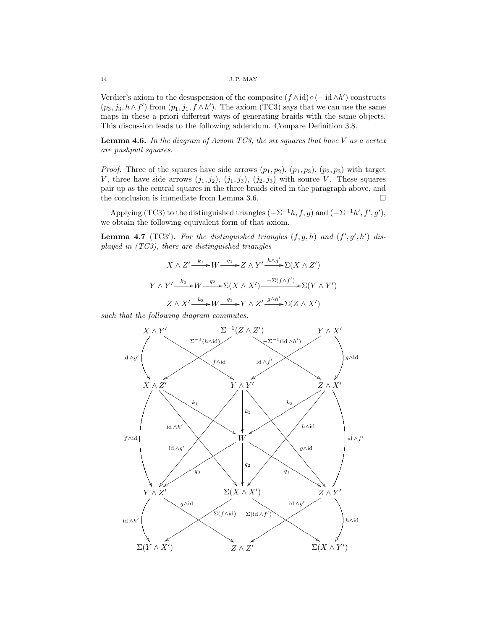Verdier's axiom to the desuspension of the composite  $(f \wedge id) \circ (-id \wedge h')$  constructs  $(p_3, j_3, h \wedge f')$  from  $(p_1, j_1, f \wedge h')$ . The axiom (TC3) says that we can use the same maps in these a priori different ways of generating braids with the same objects. This discussion leads to the following addendum. Compare Definition 3.8.

**Lemma 4.6.** In the diagram of Axiom TC3, the six squares that have V as a vertex are pushpull squares.

*Proof.* Three of the squares have side arrows  $(p_1, p_2)$ ,  $(p_1, p_3)$ ,  $(p_2, p_3)$  with target V, three have side arrows  $(j_1, j_2)$ ,  $(j_1, j_3)$ ,  $(j_2, j_3)$  with source V. These squares pair up as the central squares in the three braids cited in the paragraph above, and the conclusion is immediate from Lemma 3.6.  $\Box$ 

Applying (TC3) to the distinguished triangles  $(-\Sigma^{-1}h, f, g)$  and  $(-\Sigma^{-1}h', f', g')$ , we obtain the following equivalent form of that axiom.

**Lemma 4.7** (TC3'). For the distinguished triangles  $(f, g, h)$  and  $(f', g', h')$  displayed in (TC3), there are distinguished triangles

$$
X \wedge Z' \xrightarrow{k_1} W \xrightarrow{q_1} Z \wedge Y' \xrightarrow{h \wedge g'} \Sigma(X \wedge Z')
$$
  

$$
Y \wedge Y' \xrightarrow{k_2} W \xrightarrow{q_2} \Sigma(X \wedge X') \xrightarrow{-\Sigma(f \wedge f')} \Sigma(Y \wedge Y')
$$
  

$$
Z \wedge X' \xrightarrow{k_3} W \xrightarrow{q_3} Y \wedge Z' \xrightarrow{g \wedge h'} \Sigma(Z \wedge X')
$$

such that the following diagram commutes.

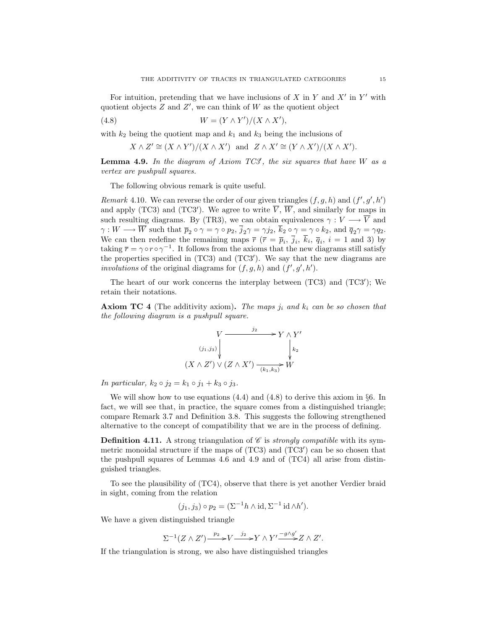For intuition, pretending that we have inclusions of  $X$  in  $Y$  and  $X'$  in  $Y'$  with quotient objects  $Z$  and  $Z'$ , we can think of  $W$  as the quotient object

$$
(4.8) \t\t W = (Y \wedge Y')/(X \wedge X'),
$$

with  $k_2$  being the quotient map and  $k_1$  and  $k_3$  being the inclusions of

$$
X \wedge Z' \cong (X \wedge Y')/(X \wedge X')
$$
 and  $Z \wedge X' \cong (Y \wedge X')/(X \wedge X').$ 

**Lemma 4.9.** In the diagram of Axiom  $TC3'$ , the six squares that have W as a vertex are pushpull squares.

The following obvious remark is quite useful.

Remark 4.10. We can reverse the order of our given triangles  $(f, g, h)$  and  $(f', g', h')$ and apply (TC3) and (TC3'). We agree to write  $\overline{V}$ ,  $\overline{W}$ , and similarly for maps in such resulting diagrams. By (TR3), we can obtain equivalences  $\gamma: V \longrightarrow \overline{V}$  and  $\gamma: W \longrightarrow \overline{W}$  such that  $\overline{p}_2 \circ \gamma = \gamma \circ p_2$ ,  $\overline{j}_2 \gamma = \gamma j_2$ ,  $k_2 \circ \gamma = \gamma \circ k_2$ , and  $\overline{q}_2 \gamma = \gamma q_2$ . We can then redefine the remaining maps  $\bar{r}$  ( $\bar{r} = \bar{p}_i$ ,  $\bar{j}_i$ ,  $k_i$ ,  $\bar{q}_i$ ,  $i = 1$  and 3) by taking  $\bar{r} = \gamma \circ r \circ \gamma^{-1}$ . It follows from the axioms that the new diagrams still satisfy the properties specified in  $(TC3)$  and  $(TC3')$ . We say that the new diagrams are involutions of the original diagrams for  $(f, g, h)$  and  $(f', g', h')$ .

The heart of our work concerns the interplay between  $(TCS)$  and  $(TCS')$ ; We retain their notations.

**Axiom TC 4** (The additivity axiom). The maps  $j_i$  and  $k_i$  can be so chosen that the following diagram is a pushpull square.

$$
\begin{array}{ccc}\n & V & \xrightarrow{j_2} & Y \wedge Y' \\
\downarrow^{(j_1,j_3)} & & & \downarrow^{k_2} \\
(X \wedge Z') \vee (Z \wedge X') & \xrightarrow(k_1,k_3)} & W\n\end{array}
$$

In particular,  $k_2 \circ j_2 = k_1 \circ j_1 + k_3 \circ j_3$ .

We will show how to use equations  $(4.4)$  and  $(4.8)$  to derive this axiom in §6. In fact, we will see that, in practice, the square comes from a distinguished triangle; compare Remark 3.7 and Definition 3.8. This suggests the following strengthened alternative to the concept of compatibility that we are in the process of defining.

**Definition 4.11.** A strong triangulation of  $\mathscr C$  is *strongly compatible* with its symmetric monoidal structure if the maps of  $(TC3)$  and  $(TC3')$  can be so chosen that the pushpull squares of Lemmas 4.6 and 4.9 and of (TC4) all arise from distinguished triangles.

To see the plausibility of (TC4), observe that there is yet another Verdier braid in sight, coming from the relation

$$
(j_1, j_3) \circ p_2 = (\Sigma^{-1}h \wedge id, \Sigma^{-1}id \wedge h').
$$

We have a given distinguished triangle

$$
\Sigma^{-1}(Z \wedge Z') \xrightarrow{p_2} V \xrightarrow{j_2} Y \wedge Y' \xrightarrow{-g \wedge g'} Z \wedge Z'.
$$

If the triangulation is strong, we also have distinguished triangles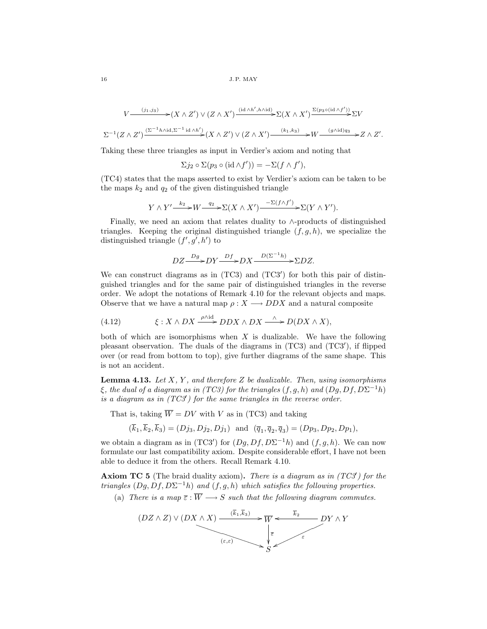$$
V \longrightarrow^{(j_1,j_3)} (X \wedge Z') \vee (Z \wedge X') \longrightarrow^{(id \wedge h', h \wedge id)} \Sigma(X \wedge X') \longrightarrow^{ \Sigma(p_3 \circ (id \wedge f'))} \Sigma V
$$
  

$$
\Sigma^{-1}(Z \wedge Z') \longrightarrow^{( \Sigma^{-1} h \wedge id, \Sigma^{-1} id \wedge h')} (X \wedge Z') \vee (Z \wedge X') \longrightarrow^{(k_1,k_3)} W \longrightarrow^{(g \wedge id)q_3} Z \wedge Z'.
$$

Taking these three triangles as input in Verdier's axiom and noting that

$$
\Sigma j_2 \circ \Sigma (p_3 \circ (\mathrm{id} \wedge f')) = -\Sigma (f \wedge f'),
$$

(TC4) states that the maps asserted to exist by Verdier's axiom can be taken to be the maps  $k_2$  and  $q_2$  of the given distinguished triangle

$$
Y \wedge Y' \xrightarrow{k_2} W \xrightarrow{q_2} \Sigma(X \wedge X') \xrightarrow{-\Sigma(f \wedge f')} \Sigma(Y \wedge Y').
$$

Finally, we need an axiom that relates duality to ∧-products of distinguished triangles. Keeping the original distinguished triangle  $(f, g, h)$ , we specialize the distinguished triangle  $(f', g', h')$  to

$$
DZ \xrightarrow{Dg} DY \xrightarrow{Df} DX \xrightarrow{D(\Sigma^{-1}h)} \Sigma DZ.
$$

We can construct diagrams as in  $(TC3)$  and  $(TC3')$  for both this pair of distinguished triangles and for the same pair of distinguished triangles in the reverse order. We adopt the notations of Remark 4.10 for the relevant objects and maps. Observe that we have a natural map  $\rho: X \longrightarrow DDX$  and a natural composite

(4.12) 
$$
\xi: X \wedge DX \xrightarrow{\rho \wedge \mathrm{id}} DDX \wedge DX \xrightarrow{\wedge} D(DX \wedge X),
$$

both of which are isomorphisms when  $X$  is dualizable. We have the following pleasant observation. The duals of the diagrams in  $(TC3)$  and  $(TC3')$ , if flipped over (or read from bottom to top), give further diagrams of the same shape. This is not an accident.

**Lemma 4.13.** Let  $X$ ,  $Y$ , and therefore  $Z$  be dualizable. Then, using isomorphisms  $\xi$ , the dual of a diagram as in (TC3) for the triangles  $(f, g, h)$  and  $(Dg, Df, D\Sigma^{-1}h)$ is a diagram as in  $(TCS')$  for the same triangles in the reverse order.

That is, taking  $\overline{W} = DV$  with V as in (TC3) and taking

$$
(\overline{k}_1, \overline{k}_2, \overline{k}_3) = (Dj_3, Dj_2, Dj_1)
$$
 and  $(\overline{q}_1, \overline{q}_2, \overline{q}_3) = (Dp_3, Dp_2, Dp_1)$ ,

we obtain a diagram as in (TC3') for  $(Dg, Df, D\Sigma^{-1}h)$  and  $(f, g, h)$ . We can now formulate our last compatibility axiom. Despite considerable effort, I have not been able to deduce it from the others. Recall Remark 4.10.

**Axiom TC 5** (The braid duality axiom). There is a diagram as in  $(TCS')$  for the triangles  $(Dg, Df, D\Sigma^{-1}h)$  and  $(f, g, h)$  which satisfies the following properties.

(a) There is a map  $\overline{\varepsilon} : \overline{W} \longrightarrow S$  such that the following diagram commutes.

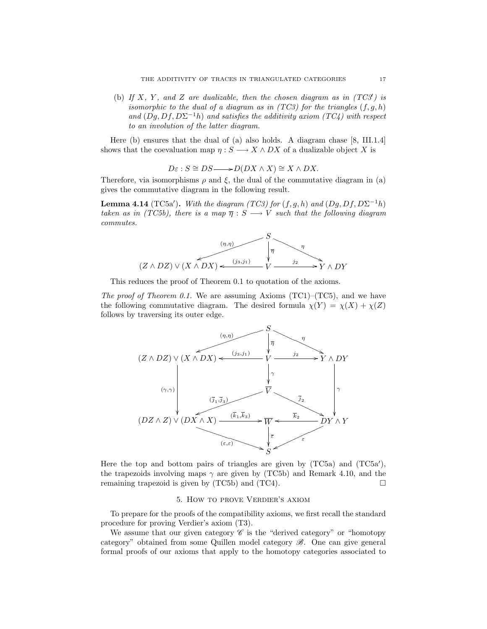(b) If X, Y, and Z are dualizable, then the chosen diagram as in  $(TCS')$  is isomorphic to the dual of a diagram as in  $(TC3)$  for the triangles  $(f, g, h)$ and  $(Dg, Df, D\Sigma^{-1}h)$  and satisfies the additivity axiom (TC4) with respect to an involution of the latter diagram.

Here (b) ensures that the dual of (a) also holds. A diagram chase [8, III.1.4] shows that the coevaluation map  $\eta : S \longrightarrow X \wedge DX$  of a dualizable object X is

$$
D\varepsilon: S \cong DS \longrightarrow D(DX \wedge X) \cong X \wedge DX.
$$

Therefore, via isomorphisms  $\rho$  and  $\xi$ , the dual of the commutative diagram in (a) gives the commutative diagram in the following result.

**Lemma 4.14** (TC5a'). With the diagram (TC3) for  $(f, g, h)$  and  $(Dg, Df, D\Sigma^{-1}h)$ taken as in (TC5b), there is a map  $\overline{\eta}: S \longrightarrow V$  such that the following diagram commutes.



This reduces the proof of Theorem 0.1 to quotation of the axioms.

The proof of Theorem 0.1. We are assuming Axioms (TC1)–(TC5), and we have the following commutative diagram. The desired formula  $\chi(Y) = \chi(X) + \chi(Z)$ follows by traversing its outer edge.



Here the top and bottom pairs of triangles are given by  $(TC5a)$  and  $(TC5a')$ , the trapezoids involving maps  $\gamma$  are given by (TC5b) and Remark 4.10, and the remaining trapezoid is given by  $(TC5b)$  and  $(TC4)$ .

# 5. How to prove Verdier's axiom

To prepare for the proofs of the compatibility axioms, we first recall the standard procedure for proving Verdier's axiom (T3).

We assume that our given category  $\mathscr C$  is the "derived category" or "homotopy" category" obtained from some Quillen model category  $\mathscr{B}$ . One can give general formal proofs of our axioms that apply to the homotopy categories associated to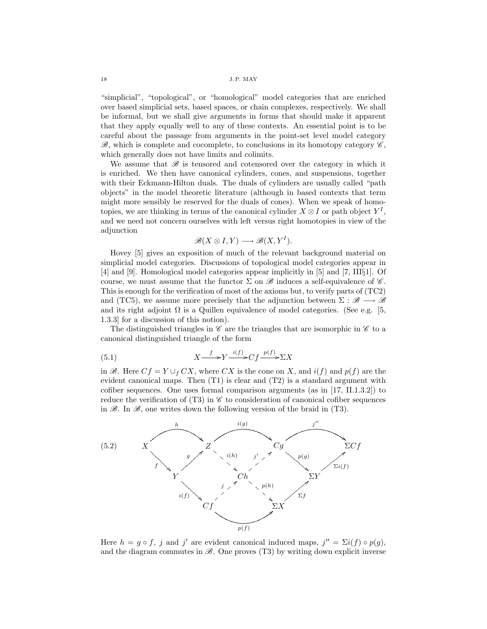"simplicial", "topological", or "homological" model categories that are enriched over based simplicial sets, based spaces, or chain complexes, respectively. We shall be informal, but we shall give arguments in forms that should make it apparent that they apply equally well to any of these contexts. An essential point is to be careful about the passage from arguments in the point-set level model category  $\mathscr{B}$ , which is complete and cocomplete, to conclusions in its homotopy category  $\mathscr{C}$ , which generally does not have limits and colimits.

We assume that  $\mathscr B$  is tensored and cotensored over the category in which it is enriched. We then have canonical cylinders, cones, and suspensions, together with their Eckmann-Hilton duals. The duals of cylinders are usually called "path objects" in the model theoretic literature (although in based contexts that term might more sensibly be reserved for the duals of cones). When we speak of homotopies, we are thinking in terms of the canonical cylinder  $X \otimes I$  or path object  $Y^I$ , and we need not concern ourselves with left versus right homotopies in view of the adjunction

$$
\mathscr{B}(X \otimes I, Y) \longrightarrow \mathscr{B}(X, Y^I).
$$

Hovey [5] gives an exposition of much of the relevant background material on simplicial model categories. Discussions of topological model categories appear in [4] and [9]. Homological model categories appear implicitly in [5] and [7, III§1]. Of course, we must assume that the functor  $\Sigma$  on  $\mathscr B$  induces a self-equivalence of  $\mathscr C$ . This is enough for the verification of most of the axioms but, to verify parts of (TC2) and (TC5), we assume more precisely that the adjunction between  $\Sigma : \mathscr{B} \longrightarrow \mathscr{B}$ and its right adjoint  $\Omega$  is a Quillen equivalence of model categories. (See e.g. [5, 1.3.3] for a discussion of this notion).

The distinguished triangles in  $\mathscr C$  are the triangles that are isomorphic in  $\mathscr C$  to a canonical distinguished triangle of the form

(5.1) 
$$
X \xrightarrow{f} Y \xrightarrow{i(f)} Cf \xrightarrow{p(f)} \Sigma X
$$

in  $\mathscr{B}$ . Here  $Cf = Y \cup_f CX$ , where  $CX$  is the cone on X, and  $i(f)$  and  $p(f)$  are the evident canonical maps. Then (T1) is clear and (T2) is a standard argument with cofiber sequences. One uses formal comparison arguments (as in [17, II.1.3.2]) to reduce the verification of (T3) in  $\mathscr C$  to consideration of canonical cofiber sequences in  $\mathscr{B}$ . In  $\mathscr{B}$ , one writes down the following version of the braid in (T3).



Here  $h = g \circ f$ , j and j' are evident canonical induced maps,  $j'' = \Sigma i(f) \circ p(g)$ , and the diagram commutes in  $\mathscr{B}$ . One proves (T3) by writing down explicit inverse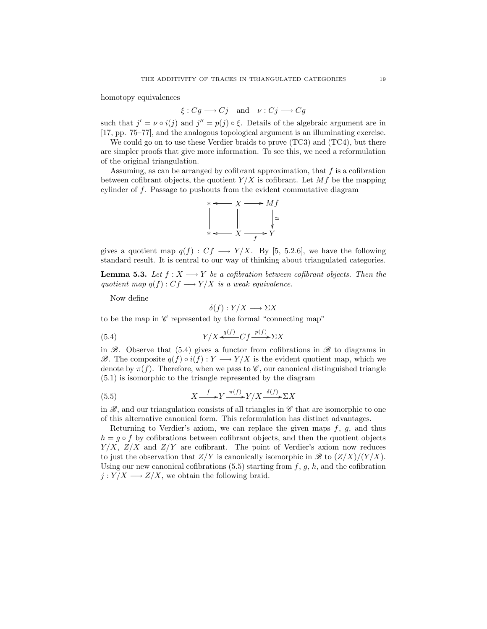homotopy equivalences

$$
\xi: Cg \longrightarrow Cj
$$
 and  $\nu: Cj \longrightarrow Cg$ 

such that  $j' = \nu \circ i(j)$  and  $j'' = p(j) \circ \xi$ . Details of the algebraic argument are in [17, pp. 75–77], and the analogous topological argument is an illuminating exercise.

We could go on to use these Verdier braids to prove (TC3) and (TC4), but there are simpler proofs that give more information. To see this, we need a reformulation of the original triangulation.

Assuming, as can be arranged by cofibrant approximation, that  $f$  is a cofibration between cofibrant objects, the quotient  $Y/X$  is cofibrant. Let  $Mf$  be the mapping cylinder of f. Passage to pushouts from the evident commutative diagram



gives a quotient map  $q(f) : Cf \longrightarrow Y/X$ . By [5, 5.2.6], we have the following standard result. It is central to our way of thinking about triangulated categories.

**Lemma 5.3.** Let  $f : X \longrightarrow Y$  be a cofibration between cofibrant objects. Then the quotient map  $q(f): Cf \longrightarrow Y/X$  is a weak equivalence.

Now define

$$
\delta(f): Y/X \longrightarrow \Sigma X
$$

to be the map in  $\mathscr C$  represented by the formal "connecting map"

$$
(5.4) \t\t Y/X \xleftarrow{q(f)} Cf \xrightarrow{p(f)} \Sigma X
$$

in  $\mathscr{B}$ . Observe that (5.4) gives a functor from cofibrations in  $\mathscr{B}$  to diagrams in  $\mathscr{B}$ . The composite  $q(f) \circ i(f) : Y \longrightarrow Y/X$  is the evident quotient map, which we denote by  $\pi(f)$ . Therefore, when we pass to  $\mathscr{C}$ , our canonical distinguished triangle (5.1) is isomorphic to the triangle represented by the diagram

(5.5) 
$$
X \xrightarrow{f} Y \xrightarrow{\pi(f)} Y/X \xrightarrow{\delta(f)} \Sigma X
$$

in  $\mathscr{B}$ , and our triangulation consists of all triangles in  $\mathscr{C}$  that are isomorphic to one of this alternative canonical form. This reformulation has distinct advantages.

Returning to Verdier's axiom, we can replace the given maps  $f, g$ , and thus  $h = q \circ f$  by cofibrations between cofibrant objects, and then the quotient objects  $Y/X$ ,  $Z/X$  and  $Z/Y$  are cofibrant. The point of Verdier's axiom now reduces to just the observation that  $Z/Y$  is canonically isomorphic in  $\mathscr{B}$  to  $(Z/X)/(Y/X)$ . Using our new canonical cofibrations  $(5.5)$  starting from  $f, g, h$ , and the cofibration  $j: Y/X \longrightarrow Z/X$ , we obtain the following braid.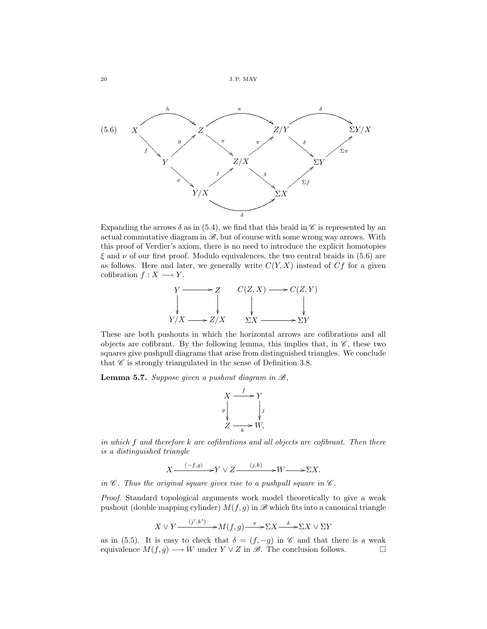

Expanding the arrows  $\delta$  as in (5.4), we find that this braid in  $\mathscr C$  is represented by an actual commutative diagram in  $\mathscr{B}$ , but of course with some wrong way arrows. With this proof of Verdier's axiom, there is no need to introduce the explicit homotopies  $\xi$  and  $\nu$  of our first proof. Modulo equivalences, the two central braids in (5.6) are as follows. Here and later, we generally write  $C(Y, X)$  instead of  $Cf$  for a given cofibration  $f : X \longrightarrow Y$ .



These are both pushouts in which the horizontal arrows are cofibrations and all objects are cofibrant. By the following lemma, this implies that, in  $\mathscr{C}$ , these two squares give pushpull diagrams that arise from distinguished triangles. We conclude that  $\mathscr C$  is strongly triangulated in the sense of Definition 3.8.

**Lemma 5.7.** Suppose given a pushout diagram in  $\mathcal{B}$ ,

$$
X \xrightarrow{f} Y
$$
  
\n
$$
g \downarrow \qquad \qquad \downarrow j
$$
  
\n
$$
Z \xrightarrow{k} W,
$$

in which  $f$  and therefore  $k$  are cofibrations and all objects are cofibrant. Then there is a distinguished triangle

$$
X \xrightarrow{(-f,g)} Y \vee Z \xrightarrow{(j,k)} W \xrightarrow{(\Sigma X)} X.
$$

in  $\mathscr C$ . Thus the original square gives rise to a pushpull square in  $\mathscr C$ .

Proof. Standard topological arguments work model theoretically to give a weak pushout (double mapping cylinder)  $M(f, g)$  in  $\mathscr B$  which fits into a canonical triangle

$$
X\vee Y\frac{(j',k')}{\longrightarrow}M(f,g)\frac{\pi}{\longrightarrow}\Sigma X\frac{\delta}{\longrightarrow}\Sigma X\vee\Sigma Y
$$

as in (5.5). It is easy to check that  $\delta = (f, -g)$  in  $\mathscr C$  and that there is a weak equivalence  $M(f, g) \longrightarrow W$  under  $Y \lor Z$  in  $\mathscr{B}$ . The conclusion follows.  $\square$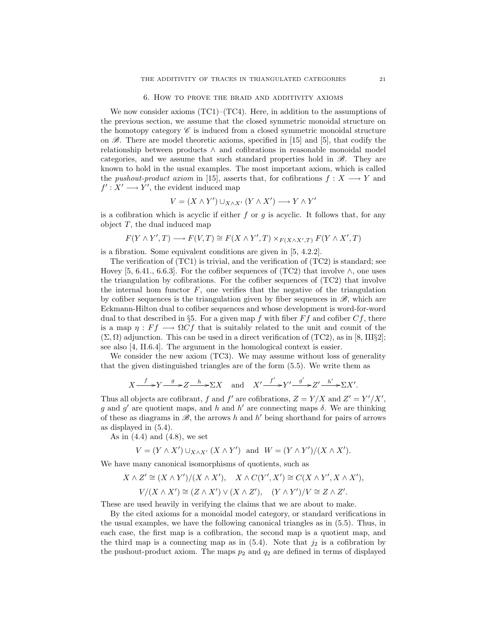## 6. How to prove the braid and additivity axioms

We now consider axioms (TC1)–(TC4). Here, in addition to the assumptions of the previous section, we assume that the closed symmetric monoidal structure on the homotopy category  $\mathscr C$  is induced from a closed symmetric monoidal structure on  $\mathscr{B}$ . There are model theoretic axioms, specified in [15] and [5], that codify the relationship between products ∧ and cofibrations in reasonable monoidal model categories, and we assume that such standard properties hold in  $\mathscr{B}$ . They are known to hold in the usual examples. The most important axiom, which is called the pushout-product axiom in [15], asserts that, for cofibrations  $f: X \longrightarrow Y$  and  $f' : X' \longrightarrow Y'$ , the evident induced map

$$
V = (X \wedge Y') \cup_{X \wedge X'} (Y \wedge X') \longrightarrow Y \wedge Y'
$$

is a cofibration which is acyclic if either f or g is acyclic. It follows that, for any object  $T$ , the dual induced map

$$
F(Y \wedge Y', T) \longrightarrow F(V, T) \cong F(X \wedge Y', T) \times_{F(X \wedge X', T)} F(Y \wedge X', T)
$$

is a fibration. Some equivalent conditions are given in [5, 4.2.2].

The verification of (TC1) is trivial, and the verification of (TC2) is standard; see Hovey [5, 6.41., 6.6.3]. For the cofiber sequences of (TC2) that involve  $\wedge$ , one uses the triangulation by cofibrations. For the cofiber sequences of (TC2) that involve the internal hom functor  $F$ , one verifies that the negative of the triangulation by cofiber sequences is the triangulation given by fiber sequences in  $\mathscr{B}$ , which are Eckmann-Hilton dual to cofiber sequences and whose development is word-for-word dual to that described in §5. For a given map f with fiber  $Ff$  and cofiber  $Cf$ , there is a map  $\eta : Ff \longrightarrow \Omega Cf$  that is suitably related to the unit and counit of the  $(\Sigma, \Omega)$  adjunction. This can be used in a direct verification of (TC2), as in [8, III§2]; see also [4, II.6.4]. The argument in the homological context is easier.

We consider the new axiom (TC3). We may assume without loss of generality that the given distinguished triangles are of the form (5.5). We write them as

$$
X \xrightarrow{f} Y \xrightarrow{g} Z \xrightarrow{h} \Sigma X \quad \text{and} \quad X' \xrightarrow{f'} Y' \xrightarrow{g'} Z' \xrightarrow{h'} \Sigma X'.
$$

Thus all objects are cofibrant, f and f' are cofibrations,  $Z = Y/X$  and  $Z' = Y'/X'$ , g and g' are quotient maps, and h and h' are connecting maps  $\delta$ . We are thinking of these as diagrams in  $\mathscr{B}$ , the arrows h and h' being shorthand for pairs of arrows as displayed in (5.4).

As in  $(4.4)$  and  $(4.8)$ , we set

$$
V = (Y \wedge X') \cup_{X \wedge X'} (X \wedge Y') \quad \text{and} \quad W = (Y \wedge Y')/(X \wedge X').
$$

We have many canonical isomorphisms of quotients, such as

$$
X \wedge Z' \cong (X \wedge Y')/(X \wedge X'), \quad X \wedge C(Y', X') \cong C(X \wedge Y', X \wedge X'),
$$
  

$$
V/(X \wedge X') \cong (Z \wedge X') \vee (X \wedge Z'), \quad (Y \wedge Y')/V \cong Z \wedge Z'.
$$

These are used heavily in verifying the claims that we are about to make.

By the cited axioms for a monoidal model category, or standard verifications in the usual examples, we have the following canonical triangles as in (5.5). Thus, in each case, the first map is a cofibration, the second map is a quotient map, and the third map is a connecting map as in  $(5.4)$ . Note that  $j_2$  is a cofibration by the pushout-product axiom. The maps  $p_2$  and  $q_2$  are defined in terms of displayed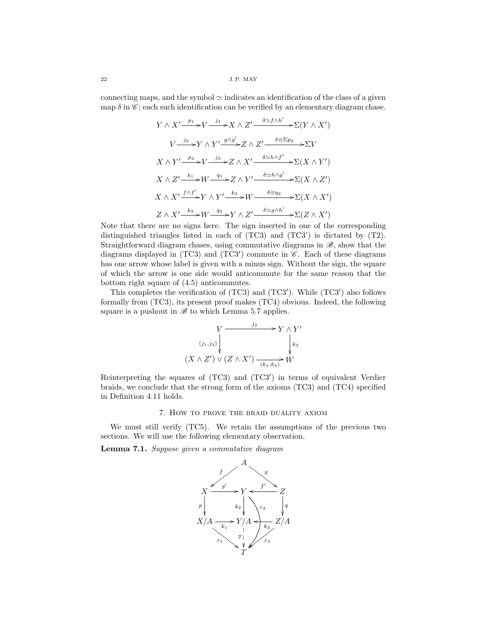connecting maps, and the symbol  $\simeq$  indicates an identification of the class of a given map  $\delta$  in  $\mathscr{C}$ ; each such identification can be verified by an elementary diagram chase.

$$
Y \wedge X' \xrightarrow{p_1} V \xrightarrow{j_1} X \wedge Z' \xrightarrow{\delta \simeq f \wedge h'} \Sigma(Y \wedge X')
$$
  
\n
$$
V \xrightarrow{j_2} Y \wedge Y' \xrightarrow{g \wedge g'} Z \wedge Z' \xrightarrow{\delta \equiv \Sigma p_2} \Sigma V
$$
  
\n
$$
X \wedge Y' \xrightarrow{p_3} V \xrightarrow{j_3} Z \wedge X' \xrightarrow{\delta \simeq h \wedge f'} \Sigma(X \wedge Y')
$$
  
\n
$$
X \wedge Z' \xrightarrow{k_1} W \xrightarrow{q_1} Z \wedge Y' \xrightarrow{\delta \simeq h \wedge g'} \Sigma(X \wedge Z')
$$
  
\n
$$
X \wedge X' \xrightarrow{f \wedge f'} Y \wedge Y' \xrightarrow{k_2} W \xrightarrow{\delta \equiv q_2} \Sigma(X \wedge X')
$$
  
\n
$$
Z \wedge X' \xrightarrow{k_3} W \xrightarrow{q_3} Y \wedge Z' \xrightarrow{\delta \simeq g \wedge h'} \Sigma(Z \wedge X')
$$

Note that there are no signs here. The sign inserted in one of the corresponding distinguished triangles listed in each of (TC3) and (TC3') is dictated by (T2). Straightforward diagram chases, using commutative diagrams in  $\mathscr{B}$ , show that the diagrams displayed in  $(TC3)$  and  $(TC3')$  commute in  $\mathscr{C}$ . Each of these diagrams has one arrow whose label is given with a minus sign. Without the sign, the square of which the arrow is one side would anticommute for the same reason that the bottom right square of (4.5) anticommutes.

This completes the verification of  $(TC3)$  and  $(TC3')$ . While  $(TC3')$  also follows formally from (TC3), its present proof makes (TC4) obvious. Indeed, the following square is a pushout in  $\mathscr{B}$  to which Lemma 5.7 applies.

$$
\begin{array}{ccc}\n & V & \xrightarrow{j_2} & Y \wedge Y' \\
\downarrow^{(j_1,j_3)} & & & \downarrow^{k_2} \\
(X \wedge Z') \vee (Z \wedge X') & \xrightarrow(k_1,k_3)} & W\n\end{array}
$$

Reinterpreting the squares of  $(TC3)$  and  $(TC3')$  in terms of equivalent Verdier braids, we conclude that the strong form of the axioms (TC3) and (TC4) specified in Definition 4.11 holds.

# 7. How to prove the braid duality axiom

We must still verify (TC5). We retain the assumptions of the previous two sections. We will use the following elementary observation.

Lemma 7.1. Suppose given a commutative diagram

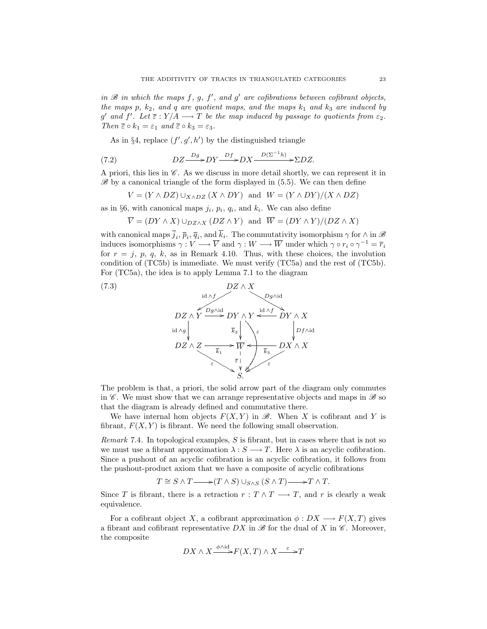in  $\mathscr B$  in which the maps f, g, f', and g' are cofibrations between cofibrant objects, the maps p,  $k_2$ , and q are quotient maps, and the maps  $k_1$  and  $k_3$  are induced by g' and f'. Let  $\overline{\varepsilon}$  :  $Y/A \longrightarrow T$  be the map induced by passage to quotients from  $\varepsilon_2$ . Then  $\overline{\varepsilon} \circ k_1 = \varepsilon_1$  and  $\overline{\varepsilon} \circ k_3 = \varepsilon_3$ .

As in §4, replace  $(f', g', h')$  by the distinguished triangle

(7.2) 
$$
DZ \xrightarrow{Dg} DY \xrightarrow{Df} DX \xrightarrow{D(\Sigma^{-1}h)} \Sigma DZ.
$$

A priori, this lies in  $\mathscr C$ . As we discuss in more detail shortly, we can represent it in  $\mathscr{B}$  by a canonical triangle of the form displayed in (5.5). We can then define

$$
V = (Y \wedge DZ) \cup_{X \wedge DZ} (X \wedge DY) \text{ and } W = (Y \wedge DY)/(X \wedge DZ)
$$

as in §6, with canonical maps  $j_i$ ,  $p_i$ ,  $q_i$ , and  $k_i$ . We can also define

$$
\overline{V} = (DY \wedge X) \cup_{DZ \wedge X} (DZ \wedge Y) \text{ and } \overline{W} = (DY \wedge Y)/(DZ \wedge X)
$$

with canonical maps  $\bar{j}_i$ ,  $\bar{p}_i$ ,  $\bar{q}_i$ , and  $\bar{k}_i$ . The commutativity isomorphism  $\gamma$  for  $\wedge$  in  $\mathscr{B}$ induces isomorphisms  $\gamma: V \longrightarrow \overline{V}$  and  $\gamma: W \longrightarrow \overline{W}$  under which  $\gamma \circ r_i \circ \gamma^{-1} = \overline{r_i}$ for  $r = j$ , p, q, k, as in Remark 4.10. Thus, with these choices, the involution condition of (TC5b) is immediate. We must verify (TC5a) and the rest of (TC5b). For (TC5a), the idea is to apply Lemma 7.1 to the diagram



The problem is that, a priori, the solid arrow part of the diagram only commutes in  $\mathscr C$ . We must show that we can arrange representative objects and maps in  $\mathscr B$  so that the diagram is already defined and commutative there.

We have internal hom objects  $F(X, Y)$  in  $\mathscr{B}$ . When X is cofibrant and Y is fibrant,  $F(X, Y)$  is fibrant. We need the following small observation.

*Remark* 7.4. In topological examples,  $S$  is fibrant, but in cases where that is not so we must use a fibrant approximation  $\lambda : S \longrightarrow T$ . Here  $\lambda$  is an acyclic cofibration. Since a pushout of an acyclic cofibration is an acyclic cofibration, it follows from the pushout-product axiom that we have a composite of acyclic cofibrations

$$
T \cong S \wedge T \longrightarrow (T \wedge S) \cup_{S \wedge S} (S \wedge T) \longrightarrow T \wedge T.
$$

Since T is fibrant, there is a retraction  $r : T \wedge T \longrightarrow T$ , and r is clearly a weak equivalence.

For a cofibrant object X, a cofibrant approximation  $\phi: DX \longrightarrow F(X,T)$  gives a fibrant and cofibrant representative  $DX$  in  $\mathscr{B}$  for the dual of X in  $\mathscr{C}$ . Moreover, the composite

$$
DX \wedge X \xrightarrow{\phi \wedge id} F(X,T) \wedge X \xrightarrow{\varepsilon} T
$$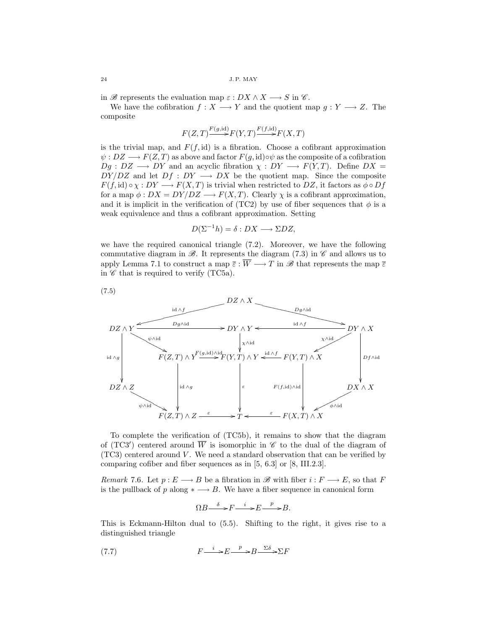in  $\mathscr{B}$  represents the evaluation map  $\varepsilon: DX \wedge X \longrightarrow S$  in  $\mathscr{C}$ .

We have the cofibration  $f: X \longrightarrow Y$  and the quotient map  $g: Y \longrightarrow Z$ . The composite

$$
F(Z,T) {\xrightarrow{F(g,\mathrm{id})}} F(Y,T) {\xrightarrow{F(f,\mathrm{id})}} F(X,T)
$$

is the trivial map, and  $F(f, id)$  is a fibration. Choose a cofibrant approximation  $\psi : DZ \longrightarrow F(Z,T)$  as above and factor  $F(g, id) \circ \psi$  as the composite of a cofibration  $Dg : DZ \longrightarrow DY$  and an acyclic fibration  $\chi: DY \longrightarrow F(Y,T)$ . Define  $DX =$  $DY/DZ$  and let  $Df: DY \longrightarrow DX$  be the quotient map. Since the composite  $F(f, id) \circ \chi : DY \longrightarrow F(X,T)$  is trivial when restricted to  $DZ$ , it factors as  $\phi \circ Df$ for a map  $\phi$  :  $DX = DY/DZ \longrightarrow F(X,T)$ . Clearly  $\chi$  is a cofibrant approximation, and it is implicit in the verification of (TC2) by use of fiber sequences that  $\phi$  is a weak equivalence and thus a cofibrant approximation. Setting

$$
D(\Sigma^{-1}h) = \delta : DX \longrightarrow \Sigma DZ,
$$

we have the required canonical triangle (7.2). Moreover, we have the following commutative diagram in  $\mathscr{B}$ . It represents the diagram (7.3) in  $\mathscr{C}$  and allows us to apply Lemma 7.1 to construct a map  $\overline{\varepsilon} : \overline{W} \longrightarrow T$  in  $\mathscr{B}$  that represents the map  $\overline{\varepsilon}$ in  $\mathscr C$  that is required to verify (TC5a).



To complete the verification of (TC5b), it remains to show that the diagram of (TC3') centered around  $\overline{W}$  is isomorphic in  $\mathscr C$  to the dual of the diagram of  $(TC3)$  centered around V. We need a standard observation that can be verified by comparing cofiber and fiber sequences as in [5, 6.3] or [8, III.2.3].

Remark 7.6. Let  $p: E \longrightarrow B$  be a fibration in  $\mathscr{B}$  with fiber  $i: F \longrightarrow E$ , so that F is the pullback of p along  $* \longrightarrow B$ . We have a fiber sequence in canonical form

$$
\Omega B \xrightarrow{\delta} F \xrightarrow{i} E \xrightarrow{p} B.
$$

This is Eckmann-Hilton dual to (5.5). Shifting to the right, it gives rise to a distinguished triangle

(7.7) 
$$
F \xrightarrow{i} E \xrightarrow{p} B \xrightarrow{\Sigma \delta} \Sigma F
$$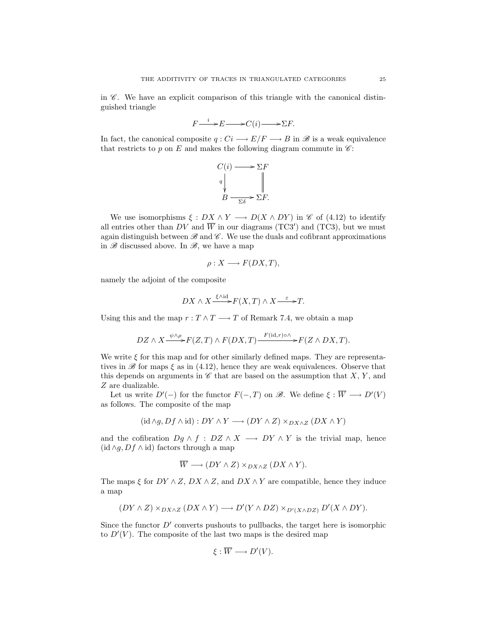in  $\mathscr{C}$ . We have an explicit comparison of this triangle with the canonical distinguished triangle

$$
F \xrightarrow{i} E \longrightarrow C(i) \longrightarrow \Sigma F.
$$

In fact, the canonical composite  $q: Ci \longrightarrow E/F \longrightarrow B$  in  $\mathscr{B}$  is a weak equivalence that restricts to p on E and makes the following diagram commute in  $\mathscr{C}$ :



We use isomorphisms  $\xi : DX \wedge Y \longrightarrow D(X \wedge DY)$  in  $\mathscr{C}$  of (4.12) to identify all entries other than DV and  $\overline{W}$  in our diagrams (TC3') and (TC3), but we must again distinguish between  $\mathscr B$  and  $\mathscr C$ . We use the duals and cofibrant approximations in  $\mathscr{B}$  discussed above. In  $\mathscr{B}$ , we have a map

$$
\rho: X \longrightarrow F(DX, T),
$$

namely the adjoint of the composite

$$
DX \wedge X \xrightarrow{\xi \wedge \mathrm{id}} F(X,T) \wedge X \xrightarrow{\varepsilon} T.
$$

Using this and the map  $r: T \wedge T \longrightarrow T$  of Remark 7.4, we obtain a map

$$
DZ \wedge X \xrightarrow{\psi \wedge \rho} F(Z,T) \wedge F(DX,T) \xrightarrow{F(\mathrm{id},r)\circ \wedge} F(Z \wedge DX,T).
$$

We write  $\xi$  for this map and for other similarly defined maps. They are representatives in  $\mathscr{B}$  for maps  $\xi$  as in (4.12), hence they are weak equivalences. Observe that this depends on arguments in  $\mathscr C$  that are based on the assumption that  $X, Y$ , and Z are dualizable.

Let us write  $D'(-)$  for the functor  $F(-,T)$  on  $\mathscr{B}$ . We define  $\xi : \overline{W} \longrightarrow D'(V)$ as follows. The composite of the map

$$
(\mathrm{id} \wedge g, Df \wedge \mathrm{id}) : DY \wedge Y \longrightarrow (DY \wedge Z) \times_{DX \wedge Z} (DX \wedge Y)
$$

and the cofibration  $Dg \wedge f : DZ \wedge X \longrightarrow DY \wedge Y$  is the trivial map, hence  $(id \wedge g, Df \wedge id)$  factors through a map

$$
\overline{W} \longrightarrow (DY \wedge Z) \times_{DX \wedge Z} (DX \wedge Y).
$$

The maps  $\xi$  for  $DY \wedge Z$ ,  $DX \wedge Z$ , and  $DX \wedge Y$  are compatible, hence they induce a map

$$
(DY \wedge Z) \times_{DX \wedge Z} (DX \wedge Y) \longrightarrow D'(Y \wedge DZ) \times_{D'(X \wedge DZ)} D'(X \wedge DY).
$$

Since the functor  $D'$  converts pushouts to pullbacks, the target here is isomorphic to  $D'(V)$ . The composite of the last two maps is the desired map

$$
\xi : \overline{W} \longrightarrow D'(V).
$$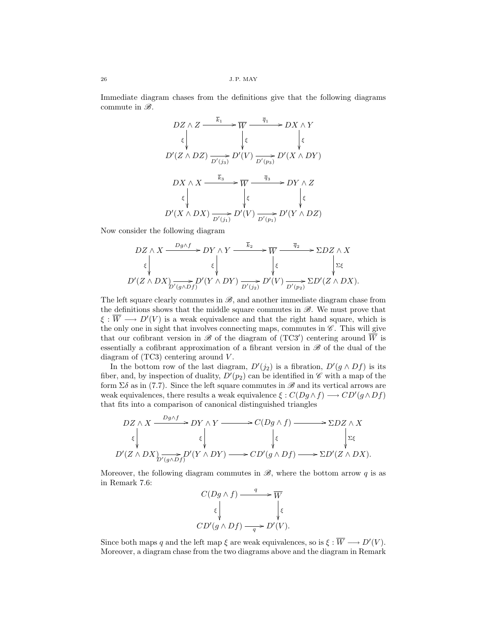Immediate diagram chases from the definitions give that the following diagrams commute in  $\mathscr{B}$ .

DZ ∧ Z <sup>k</sup><sup>1</sup> / ξ ²² W <sup>q</sup><sup>1</sup> / ξ ²² DX ∧ Y ξ ²² D0 (Z ∧ DZ) D<sup>0</sup> (j3) /D<sup>0</sup> (V ) D<sup>0</sup> (p3) /D<sup>0</sup> (X ∧ DY ) DX ∧ X <sup>k</sup><sup>3</sup> / ξ ²² W <sup>q</sup><sup>3</sup> / ξ ²² DY ∧ Z ξ ²² D0 (X ∧ DX) D<sup>0</sup> (j1) /D<sup>0</sup> (V ) D<sup>0</sup> (p1) /D<sup>0</sup> (Y ∧ DZ)

Now consider the following diagram

$$
DZ \wedge X \xrightarrow{Dg \wedge f} DY \wedge Y \xrightarrow{\overline{k}_2} \overline{W} \xrightarrow{\overline{q}_2} \Sigma DZ \wedge X
$$
  

$$
\xi \downarrow \qquad \qquad \xi \downarrow \qquad \qquad \xi
$$
  

$$
D'(Z \wedge DX) \xrightarrow{\overline{\longrightarrow}_{D'(g \wedge Df)}} D'(Y \wedge DY) \xrightarrow{D'(j_2)} D'(V) \xrightarrow{D'(p_2)} \Sigma D'(Z \wedge DX).
$$

The left square clearly commutes in  $\mathcal{B}$ , and another immediate diagram chase from the definitions shows that the middle square commutes in  $\mathscr{B}$ . We must prove that  $\xi : \overline{W} \longrightarrow D'(V)$  is a weak equivalence and that the right hand square, which is the only one in sight that involves connecting maps, commutes in  $\mathscr{C}$ . This will give that our cofibrant version in  $\mathscr B$  of the diagram of (TC3') centering around  $\overline{W}$  is essentially a cofibrant approximation of a fibrant version in  $\mathscr{B}$  of the dual of the diagram of  $(TC3)$  centering around  $V$ .

In the bottom row of the last diagram,  $D'(j_2)$  is a fibration,  $D'(g \wedge Df)$  is its fiber, and, by inspection of duality,  $D'(p_2)$  can be identified in  $\mathscr C$  with a map of the form  $\Sigma \delta$  as in (7.7). Since the left square commutes in  $\mathscr{B}$  and its vertical arrows are weak equivalences, there results a weak equivalence  $\xi : C(Dg \wedge f) \longrightarrow CD'(g \wedge Df)$ that fits into a comparison of canonical distinguished triangles

$$
DZ \wedge X \xrightarrow{Dg \wedge f} DY \wedge Y \longrightarrow C(Dg \wedge f) \longrightarrow \Sigma DZ \wedge X
$$
  

$$
\xi \downarrow \qquad \qquad \xi \downarrow \qquad \qquad \xi
$$
  

$$
D'(Z \wedge DX) \xrightarrow{D'(g \wedge Df)} D'(Y \wedge DY) \longrightarrow CD'(g \wedge Df) \longrightarrow \Sigma D'(Z \wedge DX).
$$

Moreover, the following diagram commutes in  $\mathscr{B}$ , where the bottom arrow q is as in Remark 7.6:

$$
C(Dg \wedge f) \xrightarrow{q} \overline{W}
$$

$$
\xi \downarrow \qquad \qquad \downarrow \xi
$$

$$
CD'(g \wedge Df) \xrightarrow{q} D'(V).
$$

Since both maps q and the left map  $\xi$  are weak equivalences, so is  $\xi : \overline{W} \longrightarrow D'(V)$ . Moreover, a diagram chase from the two diagrams above and the diagram in Remark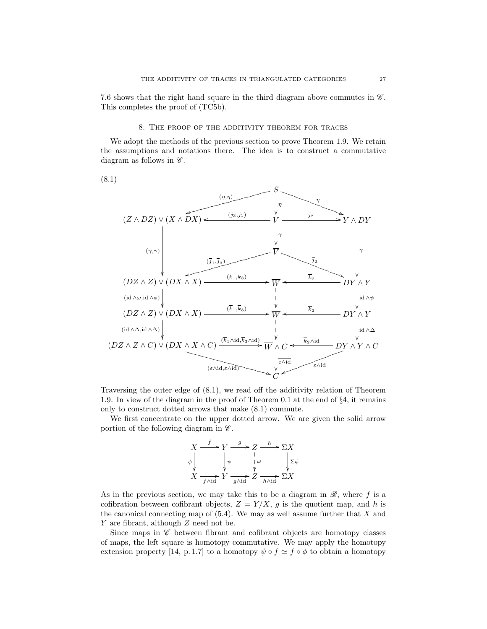7.6 shows that the right hand square in the third diagram above commutes in  $\mathscr{C}$ . This completes the proof of (TC5b).

## 8. The proof of the additivity theorem for traces

We adopt the methods of the previous section to prove Theorem 1.9. We retain the assumptions and notations there. The idea is to construct a commutative diagram as follows in  $\mathscr{C}$ .

(8.1)



Traversing the outer edge of (8.1), we read off the additivity relation of Theorem 1.9. In view of the diagram in the proof of Theorem 0.1 at the end of §4, it remains only to construct dotted arrows that make (8.1) commute.

We first concentrate on the upper dotted arrow. We are given the solid arrow portion of the following diagram in  $\mathscr{C}$ .



As in the previous section, we may take this to be a diagram in  $\mathscr{B}$ , where f is a cofibration between cofibrant objects,  $Z = Y/X$ , g is the quotient map, and h is the canonical connecting map of  $(5.4)$ . We may as well assume further that X and Y are fibrant, although Z need not be.

Since maps in  $\mathscr C$  between fibrant and cofibrant objects are homotopy classes of maps, the left square is homotopy commutative. We may apply the homotopy extension property [14, p. 1.7] to a homotopy  $\psi \circ f \simeq f \circ \phi$  to obtain a homotopy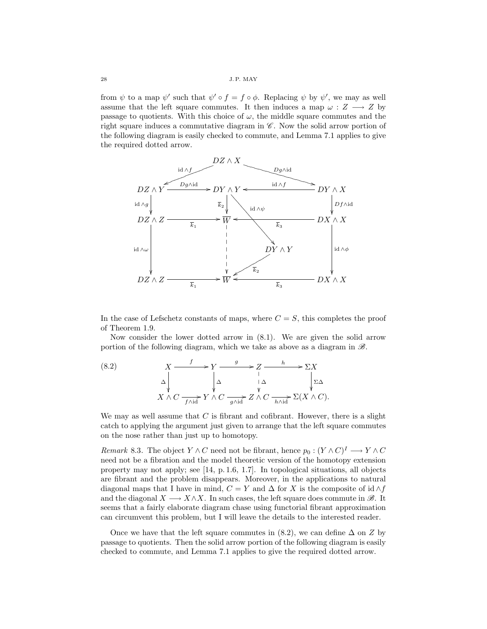from  $\psi$  to a map  $\psi'$  such that  $\psi' \circ f = f \circ \phi$ . Replacing  $\psi$  by  $\psi'$ , we may as well assume that the left square commutes. It then induces a map  $\omega : Z \longrightarrow Z$  by passage to quotients. With this choice of  $\omega$ , the middle square commutes and the right square induces a commutative diagram in  $\mathscr{C}$ . Now the solid arrow portion of the following diagram is easily checked to commute, and Lemma 7.1 applies to give the required dotted arrow.



In the case of Lefschetz constants of maps, where  $C = S$ , this completes the proof of Theorem 1.9.

Now consider the lower dotted arrow in (8.1). We are given the solid arrow portion of the following diagram, which we take as above as a diagram in  $\mathscr{B}$ .

(8.2) 
$$
X \xrightarrow{f} Y \xrightarrow{g} Z \xrightarrow{h} \Sigma X
$$

$$
\Delta \downarrow \Delta \qquad \downarrow \Delta \qquad \downarrow \Delta \qquad \downarrow \Sigma \Delta
$$

$$
X \wedge C \xrightarrow{f \wedge id} Y \wedge C \xrightarrow{g \wedge id} Z \wedge C \xrightarrow{h \wedge id} \Sigma (X \wedge C).
$$

We may as well assume that  $C$  is fibrant and cofibrant. However, there is a slight catch to applying the argument just given to arrange that the left square commutes on the nose rather than just up to homotopy.

*Remark* 8.3. The object  $Y \wedge C$  need not be fibrant, hence  $p_0 : (Y \wedge C)^I \longrightarrow Y \wedge C$ need not be a fibration and the model theoretic version of the homotopy extension property may not apply; see [14, p. 1.6, 1.7]. In topological situations, all objects are fibrant and the problem disappears. Moreover, in the applications to natural diagonal maps that I have in mind,  $C = Y$  and  $\Delta$  for X is the composite of id  $\wedge f$ and the diagonal  $X \longrightarrow X \wedge X$ . In such cases, the left square does commute in  $\mathscr{B}$ . It seems that a fairly elaborate diagram chase using functorial fibrant approximation can circumvent this problem, but I will leave the details to the interested reader.

Once we have that the left square commutes in (8.2), we can define  $\Delta$  on Z by passage to quotients. Then the solid arrow portion of the following diagram is easily checked to commute, and Lemma 7.1 applies to give the required dotted arrow.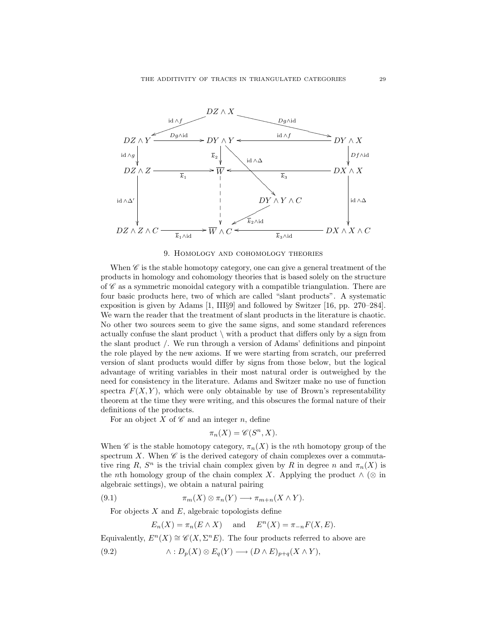

# 9. Homology and cohomology theories

When  $\mathscr{C}$  is the stable homotopy category, one can give a general treatment of the products in homology and cohomology theories that is based solely on the structure of  $\mathscr C$  as a symmetric monoidal category with a compatible triangulation. There are four basic products here, two of which are called "slant products". A systematic exposition is given by Adams [1, III§9] and followed by Switzer [16, pp. 270–284]. We warn the reader that the treatment of slant products in the literature is chaotic. No other two sources seem to give the same signs, and some standard references actually confuse the slant product  $\setminus$  with a product that differs only by a sign from the slant product /. We run through a version of Adams' definitions and pinpoint the role played by the new axioms. If we were starting from scratch, our preferred version of slant products would differ by signs from those below, but the logical advantage of writing variables in their most natural order is outweighed by the need for consistency in the literature. Adams and Switzer make no use of function spectra  $F(X, Y)$ , which were only obtainable by use of Brown's representability theorem at the time they were writing, and this obscures the formal nature of their definitions of the products.

For an object X of  $\mathscr C$  and an integer n, define

$$
\pi_n(X) = \mathscr{C}(S^n, X).
$$

When  $\mathscr C$  is the stable homotopy category,  $\pi_n(X)$  is the *n*th homotopy group of the spectrum X. When  $\mathscr C$  is the derived category of chain complexes over a commutative ring R,  $S^n$  is the trivial chain complex given by R in degree n and  $\pi_n(X)$  is the nth homology group of the chain complex X. Applying the product  $\wedge (\otimes$  in algebraic settings), we obtain a natural pairing

(9.1) 
$$
\pi_m(X) \otimes \pi_n(Y) \longrightarrow \pi_{m+n}(X \wedge Y).
$$

For objects  $X$  and  $E$ , algebraic topologists define

$$
E_n(X) = \pi_n(E \wedge X) \quad \text{and} \quad E^n(X) = \pi_{-n} F(X, E).
$$

Equivalently,  $E^{n}(X) \cong \mathscr{C}(X, \Sigma^{n}E)$ . The four products referred to above are

$$
(9.2) \qquad \qquad \wedge: D_p(X) \otimes E_q(Y) \longrightarrow (D \wedge E)_{p+q}(X \wedge Y),
$$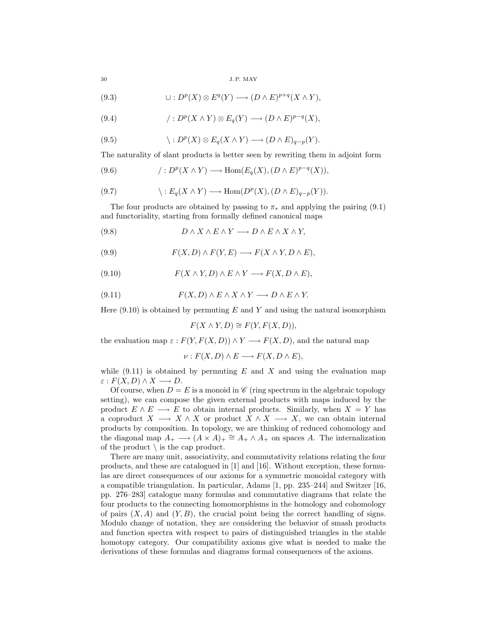(9.3) 
$$
\cup: D^p(X) \otimes E^q(Y) \longrightarrow (D \wedge E)^{p+q}(X \wedge Y),
$$

(9.4) 
$$
f: D^p(X \wedge Y) \otimes E_q(Y) \longrightarrow (D \wedge E)^{p-q}(X),
$$

(9.5) 
$$
\langle :D^p(X)\otimes E_q(X\wedge Y)\longrightarrow (D\wedge E)_{q-p}(Y).
$$

The naturality of slant products is better seen by rewriting them in adjoint form

(9.6) 
$$
f: D^p(X \wedge Y) \longrightarrow \text{Hom}(E_q(X), (D \wedge E)^{p-q}(X)),
$$

(9.7) 
$$
\langle : E_q(X \wedge Y) \longrightarrow \text{Hom}(D^p(X), (D \wedge E)_{q-p}(Y)).
$$

The four products are obtained by passing to  $\pi_*$  and applying the pairing (9.1) and functoriality, starting from formally defined canonical maps

$$
(9.8) \t\t D \wedge X \wedge E \wedge Y \longrightarrow D \wedge E \wedge X \wedge Y,
$$

(9.9) 
$$
F(X, D) \wedge F(Y, E) \longrightarrow F(X \wedge Y, D \wedge E),
$$

$$
(9.10) \tF(X \wedge Y, D) \wedge E \wedge Y \longrightarrow F(X, D \wedge E),
$$

(9.11) 
$$
F(X, D) \wedge E \wedge X \wedge Y \longrightarrow D \wedge E \wedge Y.
$$

Here  $(9.10)$  is obtained by permuting E and Y and using the natural isomorphism

$$
F(X \wedge Y, D) \cong F(Y, F(X, D)),
$$

the evaluation map  $\varepsilon$  :  $F(Y, F(X, D)) \wedge Y \longrightarrow F(X, D)$ , and the natural map

 $\nu : F(X, D) \wedge E \longrightarrow F(X, D \wedge E),$ 

while  $(9.11)$  is obtained by permuting E and X and using the evaluation map  $\varepsilon$  :  $F(X, D) \wedge X \longrightarrow D$ .

Of course, when  $D = E$  is a monoid in  $\mathscr{C}$  (ring spectrum in the algebraic topology setting), we can compose the given external products with maps induced by the product  $E \wedge E \longrightarrow E$  to obtain internal products. Similarly, when  $X = Y$  has a coproduct  $X \longrightarrow X \wedge X$  or product  $X \wedge X \longrightarrow X$ , we can obtain internal products by composition. In topology, we are thinking of reduced cohomology and the diagonal map  $A_+ \longrightarrow (A \times A)_+ \cong A_+ \wedge A_+$  on spaces A. The internalization of the product  $\setminus$  is the cap product.

There are many unit, associativity, and commutativity relations relating the four products, and these are catalogued in [1] and [16]. Without exception, these formulas are direct consequences of our axioms for a symmetric monoidal category with a compatible triangulation. In particular, Adams [1, pp. 235–244] and Switzer [16, pp. 276–283] catalogue many formulas and commutative diagrams that relate the four products to the connecting homomorphisms in the homology and cohomology of pairs  $(X, A)$  and  $(Y, B)$ , the crucial point being the correct handling of signs. Modulo change of notation, they are considering the behavior of smash products and function spectra with respect to pairs of distinguished triangles in the stable homotopy category. Our compatibility axioms give what is needed to make the derivations of these formulas and diagrams formal consequences of the axioms.

$$
3 (
$$